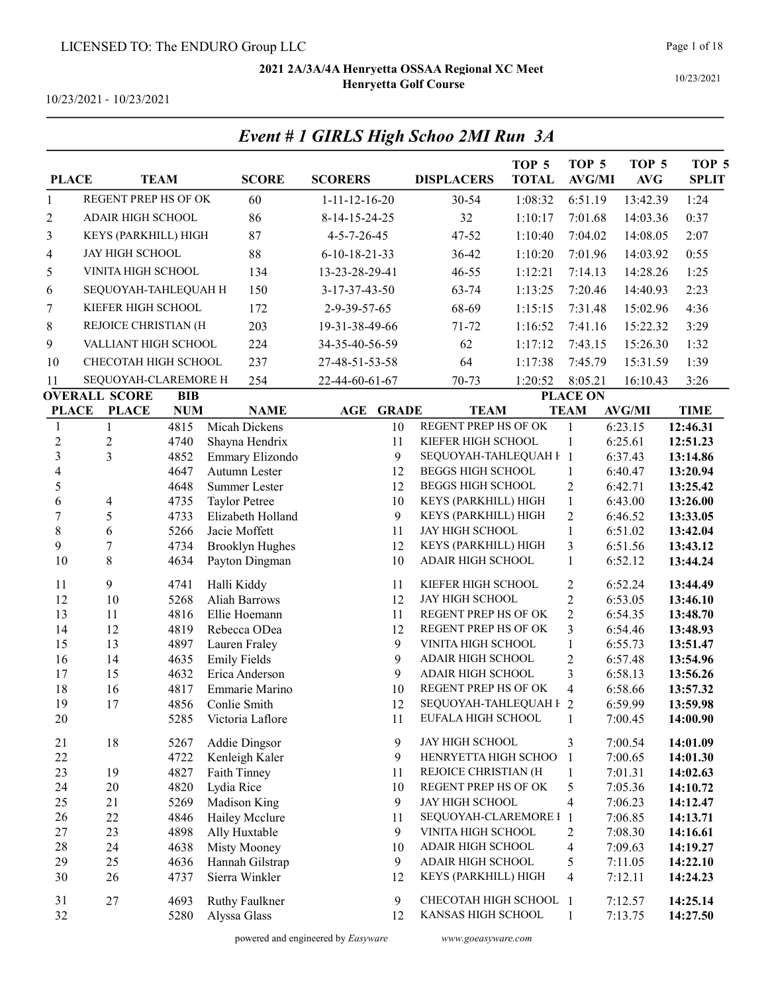Event # 1 GIRLS High Schoo 2MI Run 3A

10/23/2021 - 10/23/2021

| <b>PLACE</b>     |                                              | <b>TEAM</b>  | <b>SCORE</b>                     | <b>SCORERS</b>             | <b>DISPLACERS</b>                              | TOP <sub>5</sub><br><b>TOTAL</b> | TOP <sub>5</sub><br><b>AVG/MI</b> | TOP <sub>5</sub><br><b>AVG</b> | TOP <sub>5</sub><br><b>SPLIT</b> |
|------------------|----------------------------------------------|--------------|----------------------------------|----------------------------|------------------------------------------------|----------------------------------|-----------------------------------|--------------------------------|----------------------------------|
| $\mathbf{1}$     | <b>REGENT PREP HS OF OK</b>                  |              | 60                               | $1 - 11 - 12 - 16 - 20$    | 30-54                                          | 1:08:32                          | 6:51.19                           | 13:42.39                       | 1:24                             |
| $\overline{c}$   | <b>ADAIR HIGH SCHOOL</b>                     |              | 86                               | 8-14-15-24-25              | 32                                             | 1:10:17                          | 7:01.68                           | 14:03.36                       | 0:37                             |
| 3                | KEYS (PARKHILL) HIGH                         |              | 87                               | $4 - 5 - 7 - 26 - 45$      | 47-52                                          | 1:10:40                          | 7:04.02                           | 14:08.05                       | 2:07                             |
| 4                | <b>JAY HIGH SCHOOL</b>                       |              | 88                               | $6 - 10 - 18 - 21 - 33$    | 36-42                                          | 1:10:20                          | 7:01.96                           | 14:03.92                       | 0:55                             |
| 5                | VINITA HIGH SCHOOL                           |              | 134                              | 13-23-28-29-41             | 46-55                                          | 1:12:21                          | 7:14.13                           | 14:28.26                       | 1:25                             |
| 6                | SEQUOYAH-TAHLEQUAH H                         |              | 150                              | 3-17-37-43-50              | 63-74                                          | 1:13:25                          | 7:20.46                           | 14:40.93                       | 2:23                             |
| 7                | KIEFER HIGH SCHOOL                           |              | 172                              | 2-9-39-57-65               | 68-69                                          | 1:15:15                          | 7:31.48                           | 15:02.96                       | 4:36                             |
| 8                | REJOICE CHRISTIAN (H                         |              | 203                              | 19-31-38-49-66             | $71 - 72$                                      | 1:16:52                          | 7:41.16                           | 15:22.32                       | 3:29                             |
| 9                | VALLIANT HIGH SCHOOL                         |              | 224                              | 34-35-40-56-59             | 62                                             | 1:17:12                          | 7:43.15                           | 15:26.30                       | 1:32                             |
| 10               | CHECOTAH HIGH SCHOOL                         |              | 237                              |                            | 64                                             | 1:17:38                          | 7:45.79                           | 15:31.59                       | 1:39                             |
|                  |                                              |              |                                  | 27-48-51-53-58             |                                                |                                  |                                   |                                |                                  |
| 11               | SEQUOYAH-CLAREMORE H<br><b>OVERALL SCORE</b> | <b>BIB</b>   | 254                              | 22-44-60-61-67             | 70-73                                          | 1:20:52                          | 8:05.21<br><b>PLACE ON</b>        | 16:10.43                       | 3:26                             |
| <b>PLACE</b>     | <b>PLACE</b>                                 | <b>NUM</b>   | <b>NAME</b>                      | <b>AGE</b><br><b>GRADE</b> | <b>TEAM</b>                                    |                                  | <b>TEAM</b>                       | <b>AVG/MI</b>                  | <b>TIME</b>                      |
| 1                | 1                                            | 4815         | Micah Dickens                    | 10                         | REGENT PREP HS OF OK                           |                                  | 1                                 | 6:23.15                        | 12:46.31                         |
| $\boldsymbol{2}$ | $\mathfrak{2}$                               | 4740         | Shayna Hendrix                   | 11                         | KIEFER HIGH SCHOOL                             |                                  | $\mathbf{1}$                      | 6:25.61                        | 12:51.23                         |
| $\mathfrak{Z}$   | $\overline{3}$                               | 4852         | Emmary Elizondo                  | 9                          | SEQUOYAH-TAHLEQUAH F 1                         |                                  |                                   | 6:37.43                        | 13:14.86                         |
| 4                |                                              | 4647         | Autumn Lester                    | 12                         | <b>BEGGS HIGH SCHOOL</b>                       |                                  | $\mathbf{1}$                      | 6:40.47                        | 13:20.94                         |
| 5                |                                              | 4648         | <b>Summer Lester</b>             | 12                         | <b>BEGGS HIGH SCHOOL</b>                       |                                  | $\overline{2}$                    | 6:42.71                        | 13:25.42                         |
| 6                | $\overline{\mathcal{A}}$                     | 4735         | <b>Taylor Petree</b>             | 10                         | KEYS (PARKHILL) HIGH                           |                                  | $\mathbf{1}$                      | 6:43.00                        | 13:26.00                         |
| 7                | 5                                            | 4733         | Elizabeth Holland                | 9                          | KEYS (PARKHILL) HIGH                           |                                  | $\overline{2}$                    | 6:46.52                        | 13:33.05                         |
| $\,$ $\,$        | 6                                            | 5266         | Jacie Moffett                    | 11                         | JAY HIGH SCHOOL                                |                                  | $\mathbf{1}$                      | 6:51.02                        | 13:42.04                         |
| 9                | $\overline{7}$                               | 4734         | <b>Brooklyn Hughes</b>           | 12                         | KEYS (PARKHILL) HIGH                           |                                  | 3                                 | 6:51.56                        | 13:43.12                         |
| 10               | 8                                            | 4634         | Payton Dingman                   | 10                         | ADAIR HIGH SCHOOL                              |                                  | $\mathbf{1}$                      | 6:52.12                        | 13:44.24                         |
| 11               | 9                                            | 4741         | Halli Kiddy                      | 11                         | KIEFER HIGH SCHOOL                             |                                  | $\overline{2}$                    | 6:52.24                        | 13:44.49                         |
| 12               | 10                                           | 5268         | <b>Aliah Barrows</b>             | 12                         | JAY HIGH SCHOOL                                |                                  | $\overline{2}$                    | 6:53.05                        | 13:46.10                         |
| 13               | 11                                           | 4816         | Ellie Hoemann                    | 11                         | REGENT PREP HS OF OK                           |                                  | $\overline{2}$                    | 6:54.35                        | 13:48.70                         |
| 14               | 12                                           | 4819         | Rebecca ODea                     | 12                         | REGENT PREP HS OF OK                           |                                  | 3                                 | 6:54.46                        | 13:48.93                         |
| 15               | 13                                           | 4897         | Lauren Fraley                    | 9                          | VINITA HIGH SCHOOL                             |                                  | $\mathbf{1}$                      | 6:55.73                        | 13:51.47                         |
| 16               | 14                                           | 4635         | <b>Emily Fields</b>              | 9                          | <b>ADAIR HIGH SCHOOL</b>                       |                                  | $\overline{c}$                    | 6:57.48                        | 13:54.96                         |
| 17               | 15                                           | 4632         | Erica Anderson                   | 9                          | <b>ADAIR HIGH SCHOOL</b>                       |                                  | 3                                 | 6:58.13                        | 13:56.26                         |
| 18               | 16                                           | 4817         | Emmarie Marino                   | 10                         | REGENT PREP HS OF OK<br>SEQUOYAH-TAHLEQUAH F 2 |                                  | $\overline{4}$                    | 6:58.66                        | 13:57.32                         |
| 19<br>20         | 17                                           | 4856<br>5285 | Conlie Smith<br>Victoria Laflore | 12<br>11                   | EUFALA HIGH SCHOOL                             |                                  | 1                                 | 6:59.99<br>7:00.45             | 13:59.98<br>14:00.90             |
|                  |                                              |              |                                  |                            |                                                |                                  |                                   |                                |                                  |
| 21               | 18                                           | 5267         | Addie Dingsor                    | 9                          | <b>JAY HIGH SCHOOL</b>                         |                                  | 3                                 | 7:00.54                        | 14:01.09                         |
| 22               |                                              | 4722         | Kenleigh Kaler                   | 9                          | HENRYETTA HIGH SCHOO                           |                                  | -1                                | 7:00.65                        | 14:01.30                         |
| 23               | 19                                           | 4827         | Faith Tinney                     | 11                         | REJOICE CHRISTIAN (H                           |                                  | 1                                 | 7:01.31                        | 14:02.63                         |
| 24               | 20                                           | 4820         | Lydia Rice                       | 10                         | REGENT PREP HS OF OK                           |                                  | 5                                 | 7:05.36                        | 14:10.72                         |
| 25               | 21                                           | 5269         | Madison King                     | 9                          | <b>JAY HIGH SCHOOL</b>                         |                                  | 4                                 | 7:06.23                        | 14:12.47                         |
| 26               | 22                                           | 4846         | Hailey Mcclure                   | 11                         | SEQUOYAH-CLAREMORE I 1                         |                                  |                                   | 7:06.85                        | 14:13.71                         |
| 27<br>28         | 23<br>24                                     | 4898<br>4638 | Ally Huxtable                    | 9<br>10                    | VINITA HIGH SCHOOL<br>ADAIR HIGH SCHOOL        |                                  | 2                                 | 7:08.30                        | 14:16.61                         |
| 29               | 25                                           | 4636         | Misty Mooney<br>Hannah Gilstrap  | 9                          | ADAIR HIGH SCHOOL                              |                                  | 4<br>5                            | 7:09.63<br>7:11.05             | 14:19.27<br>14:22.10             |
| 30               | 26                                           | 4737         | Sierra Winkler                   | 12                         | KEYS (PARKHILL) HIGH                           |                                  | 4                                 | 7:12.11                        | 14:24.23                         |
|                  |                                              |              |                                  |                            |                                                |                                  |                                   |                                |                                  |
| 31               | 27                                           | 4693         | <b>Ruthy Faulkner</b>            | 9                          | CHECOTAH HIGH SCHOOL 1                         |                                  |                                   | 7:12.57                        | 14:25.14                         |
| 32               |                                              | 5280         | Alyssa Glass                     | 12                         | KANSAS HIGH SCHOOL                             |                                  | 1                                 | 7:13.75                        | 14:27.50                         |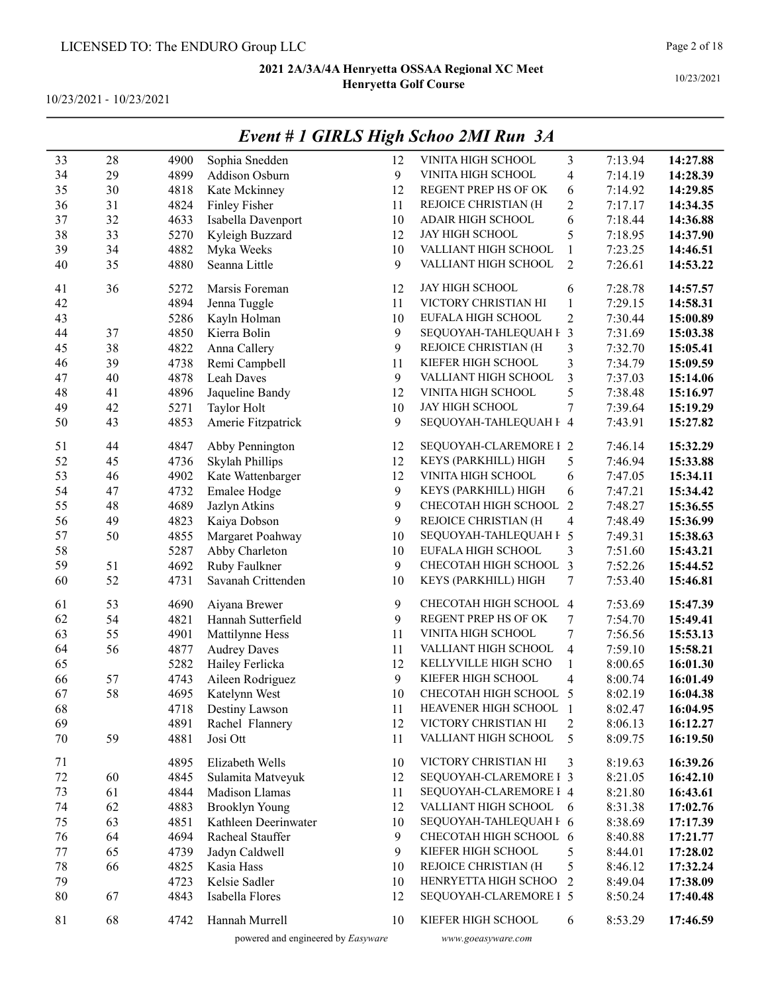10/23/2021 - 10/23/2021

|    |    |      |                       |    | Event # 1 GIRLS High Schoo 2MI Run 3A |                |         |          |
|----|----|------|-----------------------|----|---------------------------------------|----------------|---------|----------|
| 33 | 28 | 4900 | Sophia Snedden        | 12 | VINITA HIGH SCHOOL                    | 3              | 7:13.94 | 14:27.88 |
| 34 | 29 | 4899 | Addison Osburn        | 9  | VINITA HIGH SCHOOL                    | 4              | 7:14.19 | 14:28.39 |
| 35 | 30 | 4818 | Kate Mckinney         | 12 | REGENT PREP HS OF OK                  | 6              | 7:14.92 | 14:29.85 |
| 36 | 31 | 4824 | Finley Fisher         | 11 | REJOICE CHRISTIAN (H                  | 2              | 7:17.17 | 14:34.35 |
| 37 | 32 | 4633 | Isabella Davenport    | 10 | ADAIR HIGH SCHOOL                     | 6              | 7:18.44 | 14:36.88 |
| 38 | 33 | 5270 | Kyleigh Buzzard       | 12 | JAY HIGH SCHOOL                       | 5              | 7:18.95 | 14:37.90 |
| 39 | 34 | 4882 | Myka Weeks            | 10 | VALLIANT HIGH SCHOOL                  | $\mathbf{1}$   | 7:23.25 | 14:46.51 |
| 40 | 35 | 4880 | Seanna Little         | 9  | VALLIANT HIGH SCHOOL                  | $\overline{2}$ | 7:26.61 | 14:53.22 |
| 41 | 36 | 5272 | Marsis Foreman        | 12 | JAY HIGH SCHOOL                       | 6              | 7:28.78 | 14:57.57 |
| 42 |    | 4894 | Jenna Tuggle          | 11 | VICTORY CHRISTIAN HI                  | $\mathbf{1}$   | 7:29.15 | 14:58.31 |
| 43 |    | 5286 | Kayln Holman          | 10 | EUFALA HIGH SCHOOL                    | $\overline{c}$ | 7:30.44 | 15:00.89 |
| 44 | 37 | 4850 | Kierra Bolin          | 9  | SEQUOYAH-TAHLEQUAH F                  | 3              | 7:31.69 | 15:03.38 |
| 45 | 38 | 4822 | Anna Callery          | 9  | REJOICE CHRISTIAN (H                  | 3              | 7:32.70 | 15:05.41 |
| 46 | 39 | 4738 | Remi Campbell         | 11 | KIEFER HIGH SCHOOL                    | 3              | 7:34.79 | 15:09.59 |
| 47 | 40 | 4878 | Leah Daves            | 9  | VALLIANT HIGH SCHOOL                  | 3              | 7:37.03 | 15:14.06 |
| 48 | 41 | 4896 | Jaqueline Bandy       | 12 | VINITA HIGH SCHOOL                    | 5              | 7:38.48 | 15:16.97 |
| 49 | 42 | 5271 | Taylor Holt           | 10 | JAY HIGH SCHOOL                       | 7              | 7:39.64 | 15:19.29 |
| 50 | 43 | 4853 | Amerie Fitzpatrick    | 9  | SEQUOYAH-TAHLEQUAH F 4                |                | 7:43.91 | 15:27.82 |
| 51 | 44 | 4847 | Abby Pennington       | 12 | SEQUOYAH-CLAREMORE I 2                |                | 7:46.14 | 15:32.29 |
| 52 | 45 | 4736 | Skylah Phillips       | 12 | KEYS (PARKHILL) HIGH                  | 5              | 7:46.94 | 15:33.88 |
| 53 | 46 | 4902 | Kate Wattenbarger     | 12 | VINITA HIGH SCHOOL                    | 6              | 7:47.05 | 15:34.11 |
| 54 | 47 | 4732 | Emalee Hodge          | 9  | KEYS (PARKHILL) HIGH                  | 6              | 7:47.21 | 15:34.42 |
| 55 | 48 | 4689 | Jazlyn Atkins         | 9  | CHECOTAH HIGH SCHOOL                  | 2              | 7:48.27 | 15:36.55 |
| 56 | 49 | 4823 | Kaiya Dobson          | 9  | REJOICE CHRISTIAN (H                  | 4              | 7:48.49 | 15:36.99 |
| 57 | 50 | 4855 | Margaret Poahway      | 10 | SEQUOYAH-TAHLEQUAH F 5                |                | 7:49.31 | 15:38.63 |
| 58 |    | 5287 | Abby Charleton        | 10 | EUFALA HIGH SCHOOL                    | 3              | 7:51.60 | 15:43.21 |
| 59 | 51 | 4692 | Ruby Faulkner         | 9  | CHECOTAH HIGH SCHOOL                  | 3              | 7:52.26 | 15:44.52 |
| 60 | 52 | 4731 | Savanah Crittenden    | 10 | KEYS (PARKHILL) HIGH                  | 7              | 7:53.40 | 15:46.81 |
| 61 | 53 | 4690 | Aiyana Brewer         | 9  | CHECOTAH HIGH SCHOOL 4                |                | 7:53.69 | 15:47.39 |
| 62 | 54 | 4821 | Hannah Sutterfield    | 9  | REGENT PREP HS OF OK                  | 7              | 7:54.70 | 15:49.41 |
| 63 | 55 | 4901 | Mattilynne Hess       | 11 | VINITA HIGH SCHOOL                    | 7              | 7:56.56 | 15:53.13 |
| 64 | 56 | 4877 | <b>Audrey Daves</b>   | 11 | VALLIANT HIGH SCHOOL                  | 4              | 7:59.10 | 15:58.21 |
| 65 |    | 5282 | Hailey Ferlicka       | 12 | KELLYVILLE HIGH SCHO                  | 1              | 8:00.65 | 16:01.30 |
| 66 | 57 | 4743 | Aileen Rodriguez      | 9  | KIEFER HIGH SCHOOL                    | 4              | 8:00.74 | 16:01.49 |
| 67 | 58 | 4695 | Katelynn West         | 10 | CHECOTAH HIGH SCHOOL                  |                | 8:02.19 | 16:04.38 |
| 68 |    | 4718 | Destiny Lawson        | 11 | <b>HEAVENER HIGH SCHOOL 1</b>         |                | 8:02.47 | 16:04.95 |
| 69 |    | 4891 | Rachel Flannery       | 12 | VICTORY CHRISTIAN HI                  | 2              | 8:06.13 | 16:12.27 |
| 70 | 59 | 4881 | Josi Ott              | 11 | VALLIANT HIGH SCHOOL                  | 5              | 8:09.75 | 16:19.50 |
| 71 |    | 4895 | Elizabeth Wells       | 10 | VICTORY CHRISTIAN HI                  | 3              | 8:19.63 | 16:39.26 |
| 72 | 60 | 4845 | Sulamita Matveyuk     | 12 | SEQUOYAH-CLAREMORE I 3                |                | 8:21.05 | 16:42.10 |
| 73 | 61 | 4844 | Madison Llamas        | 11 | SEQUOYAH-CLAREMORE I 4                |                | 8:21.80 | 16:43.61 |
| 74 | 62 | 4883 | <b>Brooklyn Young</b> | 12 | VALLIANT HIGH SCHOOL                  | -6             | 8:31.38 | 17:02.76 |
| 75 | 63 | 4851 | Kathleen Deerinwater  | 10 | SEQUOYAH-TAHLEQUAH F 6                |                | 8:38.69 | 17:17.39 |
| 76 | 64 | 4694 | Racheal Stauffer      | 9  | CHECOTAH HIGH SCHOOL 6                |                | 8:40.88 | 17:21.77 |
| 77 | 65 | 4739 | Jadyn Caldwell        | 9  | KIEFER HIGH SCHOOL                    | 5              | 8:44.01 | 17:28.02 |
| 78 | 66 | 4825 | Kasia Hass            | 10 | REJOICE CHRISTIAN (H                  | 5              | 8:46.12 | 17:32.24 |
| 79 |    | 4723 | Kelsie Sadler         | 10 | HENRYETTA HIGH SCHOO                  | 2              | 8:49.04 | 17:38.09 |
| 80 | 67 | 4843 | Isabella Flores       | 12 | SEQUOYAH-CLAREMORE I 5                |                | 8:50.24 | 17:40.48 |
| 81 | 68 | 4742 | Hannah Murrell        | 10 | KIEFER HIGH SCHOOL                    | 6              | 8:53.29 | 17:46.59 |

# Event # 1 GIRLS High Schoo 2MI Run 3A

powered and engineered by Easyware www.goeasyware.com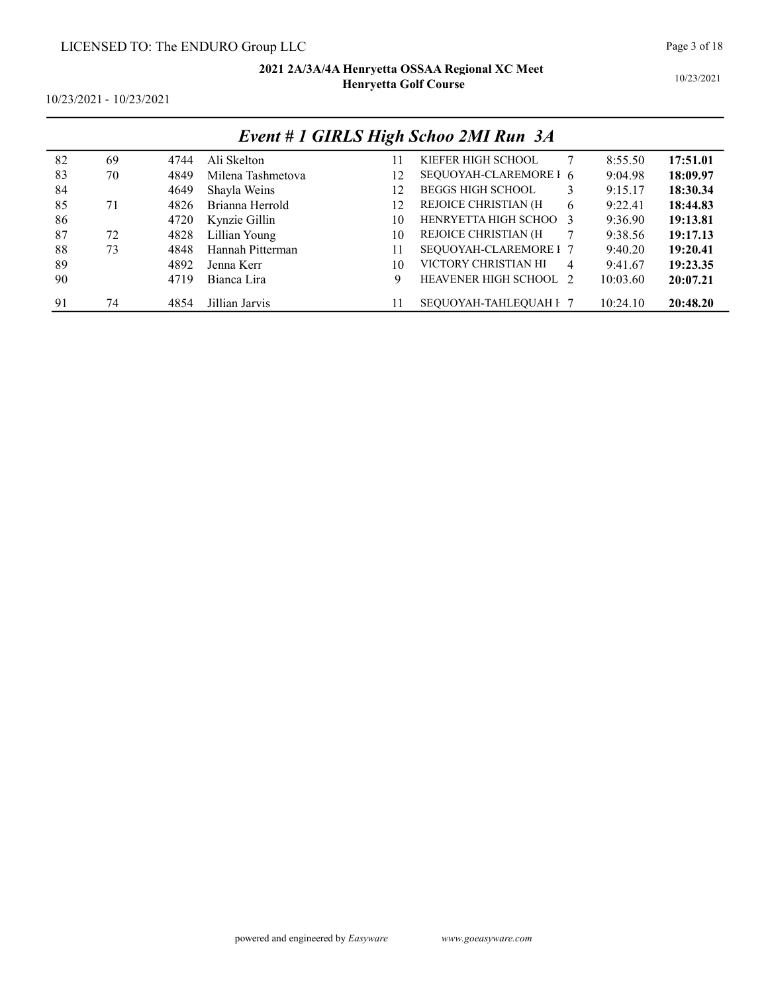10/23/2021

10/23/2021 - 10/23/2021

|    |    |      |                   |    | Event # 1 GIRLS High Schoo 2MI Run 3A |   |          |          |
|----|----|------|-------------------|----|---------------------------------------|---|----------|----------|
| 82 | 69 | 4744 | Ali Skelton       |    | KIEFER HIGH SCHOOL                    |   | 8:55.50  | 17:51.01 |
| 83 | 70 | 4849 | Milena Tashmetova | 12 | SEQUOYAH-CLAREMORE I 6                |   | 9:04.98  | 18:09.97 |
| 84 |    | 4649 | Shayla Weins      | 12 | <b>BEGGS HIGH SCHOOL</b>              | 3 | 9:15.17  | 18:30.34 |
| 85 | 71 | 4826 | Brianna Herrold   | 12 | REJOICE CHRISTIAN (H                  | 6 | 9:22.41  | 18:44.83 |
| 86 |    | 4720 | Kynzie Gillin     | 10 | HENRYETTA HIGH SCHOO 3                |   | 9:36.90  | 19:13.81 |
| 87 | 72 | 4828 | Lillian Young     | 10 | REJOICE CHRISTIAN (H                  |   | 9:38.56  | 19:17.13 |
| 88 | 73 | 4848 | Hannah Pitterman  | 11 | SEQUOYAH-CLAREMORE I 7                |   | 9:40.20  | 19:20.41 |
| 89 |    | 4892 | Jenna Kerr        | 10 | VICTORY CHRISTIAN HI                  | 4 | 9:41.67  | 19:23.35 |
| 90 |    | 4719 | Bianca Lira       | 9  | <b>HEAVENER HIGH SCHOOL 2</b>         |   | 10:03.60 | 20:07.21 |
| 91 | 74 | 4854 | Jillian Jarvis    |    | SEOUOYAH-TAHLEOUAH F 7                |   | 10:24.10 | 20:48.20 |

# $E \sim 11$  CIDICIP 1 G 1  $\sim 3$ MID 34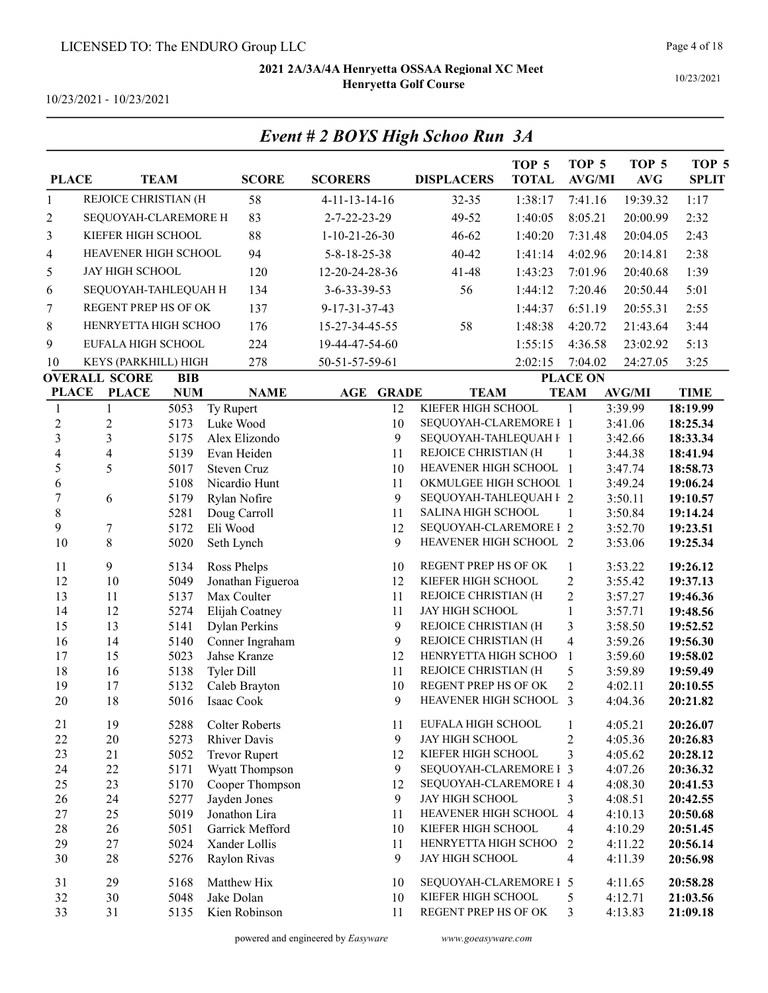|                |                        |              |                                     | Event # 2 BOYS High Schoo Run 3A |                                                  |                                  |                                   |                                |                       |
|----------------|------------------------|--------------|-------------------------------------|----------------------------------|--------------------------------------------------|----------------------------------|-----------------------------------|--------------------------------|-----------------------|
| <b>PLACE</b>   |                        | <b>TEAM</b>  | <b>SCORE</b>                        | <b>SCORERS</b>                   | <b>DISPLACERS</b>                                | TOP <sub>5</sub><br><b>TOTAL</b> | TOP <sub>5</sub><br><b>AVG/MI</b> | TOP <sub>5</sub><br><b>AVG</b> | TOP 5<br><b>SPLIT</b> |
| $\mathbf{1}$   | REJOICE CHRISTIAN (H   |              | 58                                  | $4-11-13-14-16$                  | $32 - 35$                                        | 1:38:17                          | 7:41.16                           | 19:39.32                       | 1:17                  |
| 2              | SEQUOYAH-CLAREMORE H   |              | 83                                  | 2-7-22-23-29                     | 49-52                                            | 1:40:05                          | 8:05.21                           | 20:00.99                       | 2:32                  |
| 3              | KIEFER HIGH SCHOOL     |              | 88                                  | $1-10-21-26-30$                  | 46-62                                            | 1:40:20                          | 7:31.48                           | 20:04.05                       | 2:43                  |
| 4              | HEAVENER HIGH SCHOOL   |              | 94                                  | 5-8-18-25-38                     | 40-42                                            | 1:41:14                          | 4:02.96                           | 20:14.81                       | 2:38                  |
| 5              | <b>JAY HIGH SCHOOL</b> |              | 120                                 | 12-20-24-28-36                   | 41-48                                            | 1:43:23                          | 7:01.96                           | 20:40.68                       | 1:39                  |
|                | SEQUOYAH-TAHLEQUAH H   |              | 134                                 | 3-6-33-39-53                     | 56                                               | 1:44:12                          | 7:20.46                           | 20:50.44                       | 5:01                  |
| 6              |                        |              |                                     |                                  |                                                  |                                  |                                   |                                |                       |
| 7              | REGENT PREP HS OF OK   |              | 137                                 | 9-17-31-37-43                    |                                                  | 1:44:37                          | 6:51.19                           | 20:55.31                       | 2:55                  |
| 8              | HENRYETTA HIGH SCHOO   |              | 176                                 | 15-27-34-45-55                   | 58                                               | 1:48:38                          | 4:20.72                           | 21:43.64                       | 3:44                  |
| 9              | EUFALA HIGH SCHOOL     |              | 224                                 | 19-44-47-54-60                   |                                                  | 1:55:15                          | 4:36.58                           | 23:02.92                       | 5:13                  |
| 10             | KEYS (PARKHILL) HIGH   |              | 278                                 | 50-51-57-59-61                   |                                                  | 2:02:15                          | 7:04.02                           | 24:27.05                       | 3:25                  |
|                | <b>OVERALL SCORE</b>   | <b>BIB</b>   |                                     |                                  |                                                  |                                  | <b>PLACE ON</b>                   |                                |                       |
| <b>PLACE</b>   | <b>PLACE</b>           | <b>NUM</b>   | <b>NAME</b>                         | <b>AGE GRADE</b>                 | <b>TEAM</b>                                      |                                  | <b>TEAM</b>                       | <b>AVG/MI</b>                  | <b>TIME</b>           |
| 1              | 1                      | 5053         | Ty Rupert                           | 12                               | KIEFER HIGH SCHOOL                               |                                  | 1                                 | 3:39.99                        | 18:19.99              |
| $\overline{c}$ | $\overline{2}$         | 5173         | Luke Wood                           | 10                               | SEQUOYAH-CLAREMORE I 1                           |                                  |                                   | 3:41.06                        | 18:25.34              |
| $\overline{3}$ | 3                      | 5175         | Alex Elizondo                       | 9                                | SEQUOYAH-TAHLEQUAH F 1                           |                                  |                                   | 3:42.66                        | 18:33.34              |
| 4              | $\overline{4}$         | 5139         | Evan Heiden                         | 11                               | REJOICE CHRISTIAN (H                             |                                  | 1                                 | 3:44.38                        | 18:41.94              |
| 5<br>6         | 5                      | 5017<br>5108 | <b>Steven Cruz</b><br>Nicardio Hunt | 10<br>11                         | HEAVENER HIGH SCHOOL 1<br>OKMULGEE HIGH SCHOOL 1 |                                  |                                   | 3:47.74<br>3:49.24             | 18:58.73<br>19:06.24  |
| $\tau$         | 6                      | 5179         | Rylan Nofire                        | 9                                | SEQUOYAH-TAHLEQUAH F 2                           |                                  |                                   | 3:50.11                        | 19:10.57              |
| $\,8\,$        |                        | 5281         | Doug Carroll                        | 11                               | SALINA HIGH SCHOOL                               |                                  | -1                                | 3:50.84                        | 19:14.24              |
| 9              | 7                      | 5172         | Eli Wood                            | 12                               | SEQUOYAH-CLAREMORE I 2                           |                                  |                                   | 3:52.70                        | 19:23.51              |
| 10             | 8                      | 5020         | Seth Lynch                          | 9                                | HEAVENER HIGH SCHOOL 2                           |                                  |                                   | 3:53.06                        | 19:25.34              |
| 11             | 9                      | 5134         | Ross Phelps                         | 10                               | REGENT PREP HS OF OK                             |                                  | $\mathbf{1}$                      | 3:53.22                        | 19:26.12              |
| 12             | 10                     | 5049         | Jonathan Figueroa                   | 12                               | KIEFER HIGH SCHOOL                               |                                  | $\overline{2}$                    | 3:55.42                        | 19:37.13              |
| 13             | 11                     | 5137         | Max Coulter                         | 11                               | REJOICE CHRISTIAN (H                             |                                  | $\overline{2}$                    | 3:57.27                        | 19:46.36              |
| 14             | 12                     | 5274         | Elijah Coatney                      | 11                               | JAY HIGH SCHOOL                                  |                                  | $\mathbf{1}$                      | 3:57.71                        | 19:48.56              |
| 15             | 13                     | 5141         | <b>Dylan Perkins</b>                | 9                                | REJOICE CHRISTIAN (H                             |                                  | 3                                 | 3:58.50                        | 19:52.52              |
| 16             | 14                     | 5140         | Conner Ingraham                     | 9                                | REJOICE CHRISTIAN (H                             |                                  | $\overline{4}$                    | 3:59.26                        | 19:56.30              |
| 17             | 15                     | 5023         | Jahse Kranze                        | 12                               | HENRYETTA HIGH SCHOO                             |                                  | 1                                 | 3:59.60                        | 19:58.02              |
| 18             | 16                     | 5138         | <b>Tyler Dill</b>                   | 11                               | REJOICE CHRISTIAN (H                             |                                  | 5                                 | 3:59.89                        | 19:59.49              |
| 19             | 17                     | 5132         | Caleb Brayton                       | 10                               | REGENT PREP HS OF OK                             |                                  | 2                                 | 4:02.11                        | 20:10.55              |
| 20             | 18                     | 5016         | Isaac Cook                          | 9                                | HEAVENER HIGH SCHOOL 3                           |                                  |                                   | 4:04.36                        | 20:21.82              |
| 21             | 19                     | 5288         | <b>Colter Roberts</b>               | 11                               | EUFALA HIGH SCHOOL                               |                                  | 1                                 | 4:05.21                        | 20:26.07              |
| 22             | 20                     | 5273         | <b>Rhiver Davis</b>                 | 9                                | JAY HIGH SCHOOL                                  |                                  | $\overline{2}$                    | 4:05.36                        | 20:26.83              |
| 23             | 21                     | 5052         | <b>Trevor Rupert</b>                | 12                               | KIEFER HIGH SCHOOL                               |                                  | 3                                 | 4:05.62                        | 20:28.12              |
| 24             | 22                     | 5171         | Wyatt Thompson                      | 9                                | SEQUOYAH-CLAREMORE I 3                           |                                  |                                   | 4:07.26                        | 20:36.32              |
| 25             | 23                     | 5170         | Cooper Thompson                     | 12                               | SEQUOYAH-CLAREMORE I 4                           |                                  |                                   | 4:08.30                        | 20:41.53              |
| 26             | 24                     | 5277         | Jayden Jones                        | 9                                | <b>JAY HIGH SCHOOL</b>                           |                                  | 3                                 | 4:08.51                        | 20:42.55              |
| 27             | 25                     | 5019         | Jonathon Lira                       | 11                               | HEAVENER HIGH SCHOOL                             |                                  | $\overline{4}$                    | 4:10.13                        | 20:50.68              |
| 28             | 26                     | 5051         | Garrick Mefford                     | 10                               | KIEFER HIGH SCHOOL<br>HENRYETTA HIGH SCHOO       |                                  | 4                                 | 4:10.29                        | 20:51.45              |
| 29<br>30       | 27<br>28               | 5024<br>5276 | Xander Lollis<br>Raylon Rivas       | 11<br>9                          | JAY HIGH SCHOOL                                  |                                  | 2<br>4                            | 4:11.22                        | 20:56.14<br>20:56.98  |
|                |                        |              |                                     |                                  |                                                  |                                  |                                   | 4:11.39                        |                       |
| 31             | 29                     | 5168         | Matthew Hix                         | 10                               | SEQUOYAH-CLAREMORE I 5                           |                                  |                                   | 4:11.65                        | 20:58.28              |
| 32             | 30                     | 5048         | Jake Dolan                          | 10                               | KIEFER HIGH SCHOOL                               |                                  | 5                                 | 4:12.71                        | 21:03.56              |
| 33             | 31                     | 5135         | Kien Robinson                       | 11                               | REGENT PREP HS OF OK                             |                                  | 3                                 | 4:13.83                        | 21:09.18              |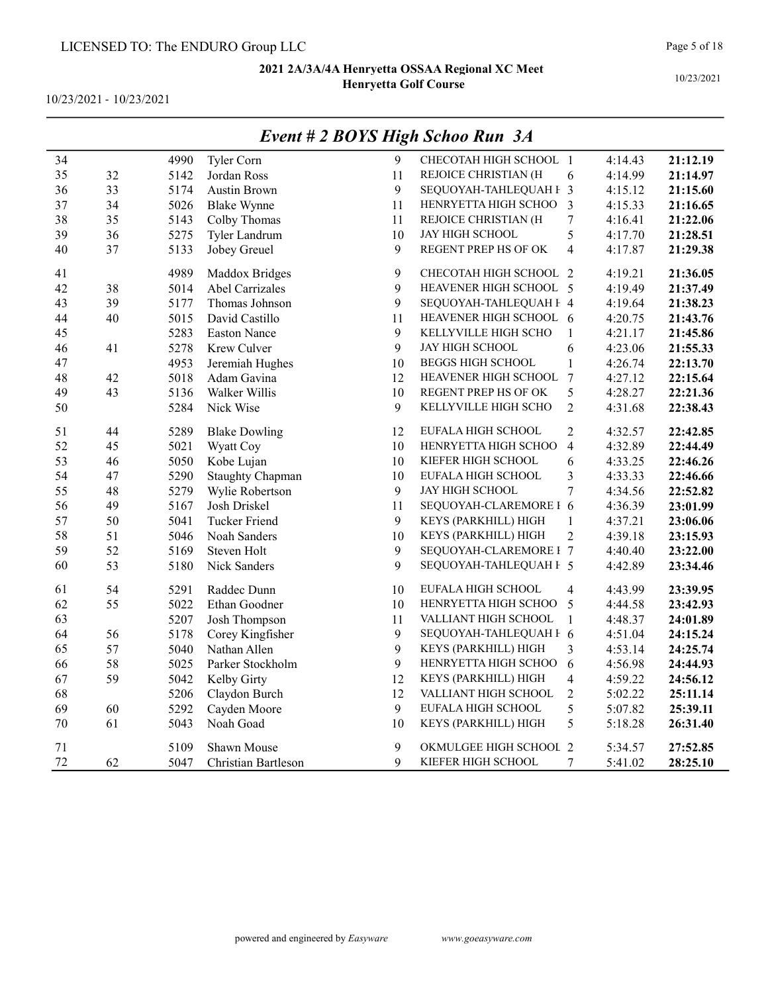10/23/2021 - 10/23/2021

|    |        |      |                         |             | $E$ veni # 4 DOTS High Schoo Kun $\,$ 5A |                         |         |          |
|----|--------|------|-------------------------|-------------|------------------------------------------|-------------------------|---------|----------|
| 34 |        | 4990 | Tyler Corn              | 9           | CHECOTAH HIGH SCHOOL 1                   |                         | 4:14.43 | 21:12.19 |
| 35 | 32     | 5142 | Jordan Ross             | 11          | REJOICE CHRISTIAN (H                     | 6                       | 4:14.99 | 21:14.97 |
| 36 | 33     | 5174 | <b>Austin Brown</b>     | 9           | SEQUOYAH-TAHLEQUAH F 3                   |                         | 4:15.12 | 21:15.60 |
| 37 | 34     | 5026 | <b>Blake Wynne</b>      | 11          | HENRYETTA HIGH SCHOO                     | 3                       | 4:15.33 | 21:16.65 |
| 38 | 35     | 5143 | Colby Thomas            | 11          | REJOICE CHRISTIAN (H                     | $\sqrt{ }$              | 4:16.41 | 21:22.06 |
| 39 | 36     | 5275 | Tyler Landrum           | 10          | JAY HIGH SCHOOL                          | 5                       | 4:17.70 | 21:28.51 |
| 40 | 37     | 5133 | Jobey Greuel            | 9           | REGENT PREP HS OF OK                     | $\overline{4}$          | 4:17.87 | 21:29.38 |
| 41 |        | 4989 | Maddox Bridges          | 9           | CHECOTAH HIGH SCHOOL 2                   |                         | 4:19.21 | 21:36.05 |
| 42 | 38     | 5014 | Abel Carrizales         | 9           | HEAVENER HIGH SCHOOL 5                   |                         | 4:19.49 | 21:37.49 |
| 43 | 39     | 5177 | Thomas Johnson          | 9           | SEQUOYAH-TAHLEQUAH F 4                   |                         | 4:19.64 | 21:38.23 |
| 44 | $40\,$ | 5015 | David Castillo          | 11          | HEAVENER HIGH SCHOOL 6                   |                         | 4:20.75 | 21:43.76 |
| 45 |        | 5283 | <b>Easton Nance</b>     | 9           | KELLYVILLE HIGH SCHO                     | $\mathbf{1}$            | 4:21.17 | 21:45.86 |
| 46 | 41     | 5278 | Krew Culver             | 9           | <b>JAY HIGH SCHOOL</b>                   | 6                       | 4:23.06 | 21:55.33 |
| 47 |        | 4953 | Jeremiah Hughes         | 10          | <b>BEGGS HIGH SCHOOL</b>                 | $\mathbf{1}$            | 4:26.74 | 22:13.70 |
| 48 | 42     | 5018 | Adam Gavina             | 12          | HEAVENER HIGH SCHOOL                     | $\overline{7}$          | 4:27.12 | 22:15.64 |
| 49 | 43     | 5136 | Walker Willis           | 10          | REGENT PREP HS OF OK                     | 5                       | 4:28.27 | 22:21.36 |
| 50 |        | 5284 | Nick Wise               | 9           | KELLYVILLE HIGH SCHO                     | $\overline{2}$          | 4:31.68 | 22:38.43 |
| 51 | 44     | 5289 | <b>Blake Dowling</b>    | 12          | EUFALA HIGH SCHOOL                       | $\overline{2}$          | 4:32.57 | 22:42.85 |
| 52 | 45     | 5021 | Wyatt Coy               | 10          | HENRYETTA HIGH SCHOO                     | $\overline{4}$          | 4:32.89 | 22:44.49 |
| 53 | 46     | 5050 | Kobe Lujan              | 10          | KIEFER HIGH SCHOOL                       | 6                       | 4:33.25 | 22:46.26 |
| 54 | 47     | 5290 | <b>Staughty Chapman</b> | 10          | EUFALA HIGH SCHOOL                       | $\overline{\mathbf{3}}$ | 4:33.33 | 22:46.66 |
| 55 | 48     | 5279 | Wylie Robertson         | 9           | <b>JAY HIGH SCHOOL</b>                   | $\overline{7}$          | 4:34.56 | 22:52.82 |
| 56 | 49     | 5167 | Josh Driskel            | 11          | SEQUOYAH-CLAREMORE I 6                   |                         | 4:36.39 | 23:01.99 |
| 57 | 50     | 5041 | <b>Tucker Friend</b>    | 9           | KEYS (PARKHILL) HIGH                     | $\mathbf{1}$            | 4:37.21 | 23:06.06 |
| 58 | 51     | 5046 | Noah Sanders            | 10          | KEYS (PARKHILL) HIGH                     | $\overline{2}$          | 4:39.18 | 23:15.93 |
| 59 | 52     | 5169 | Steven Holt             | 9           | SEQUOYAH-CLAREMORE I 7                   |                         | 4:40.40 | 23:22.00 |
| 60 | 53     | 5180 | Nick Sanders            | 9           | SEQUOYAH-TAHLEQUAH F 5                   |                         | 4:42.89 | 23:34.46 |
| 61 | 54     | 5291 | Raddec Dunn             | 10          | EUFALA HIGH SCHOOL                       | $\overline{4}$          | 4:43.99 | 23:39.95 |
| 62 | 55     | 5022 | Ethan Goodner           | 10          | HENRYETTA HIGH SCHOO                     | 5                       | 4:44.58 | 23:42.93 |
| 63 |        | 5207 | Josh Thompson           | 11          | VALLIANT HIGH SCHOOL                     | $\mathbf{1}$            | 4:48.37 | 24:01.89 |
| 64 | 56     | 5178 | Corey Kingfisher        | 9           | SEQUOYAH-TAHLEQUAH F 6                   |                         | 4:51.04 | 24:15.24 |
| 65 | 57     | 5040 | Nathan Allen            | 9           | KEYS (PARKHILL) HIGH                     | 3                       | 4:53.14 | 24:25.74 |
| 66 | 58     | 5025 | Parker Stockholm        | 9           | HENRYETTA HIGH SCHOO                     | 6                       | 4:56.98 | 24:44.93 |
| 67 | 59     | 5042 | Kelby Girty             | 12          | KEYS (PARKHILL) HIGH                     | $\overline{\mathbf{4}}$ | 4:59.22 | 24:56.12 |
| 68 |        | 5206 | Claydon Burch           | 12          | VALLIANT HIGH SCHOOL                     | $\overline{c}$          | 5:02.22 | 25:11.14 |
| 69 | 60     | 5292 | Cayden Moore            | 9           | EUFALA HIGH SCHOOL                       | 5                       | 5:07.82 | 25:39.11 |
| 70 | 61     | 5043 | Noah Goad               | 10          | KEYS (PARKHILL) HIGH                     | 5                       | 5:18.28 | 26:31.40 |
| 71 |        | 5109 | Shawn Mouse             | 9           | OKMULGEE HIGH SCHOOL 2                   |                         | 5:34.57 | 27:52.85 |
| 72 | 62     | 5047 | Christian Bartleson     | $\mathbf Q$ | KIEFER HIGH SCHOOL                       | 7                       | 5:41.02 | 28:25.10 |

# Event # 2 BOYS High Schoo Run 3A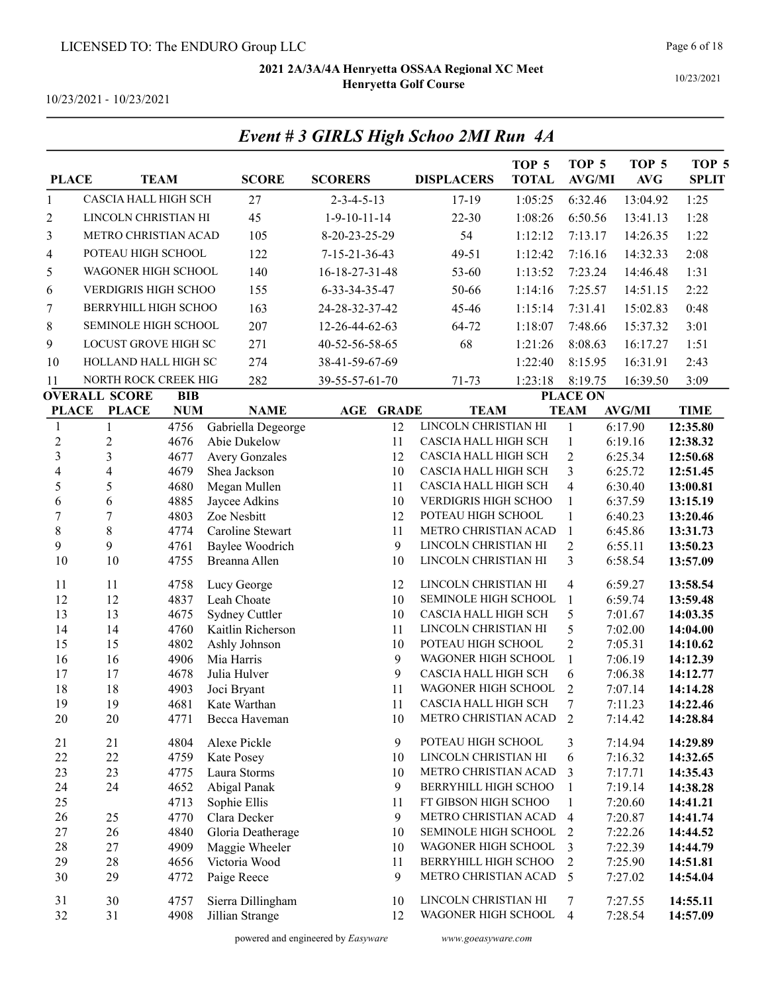10/23/2021

10/23/2021 - 10/23/2021

| <b>PLACE</b>            |                             | <b>TEAM</b>  | <b>SCORE</b>                        | <b>SCORERS</b>             | <b>DISPLACERS</b>                            | TOP <sub>5</sub><br><b>TOTAL</b> | TOP <sub>5</sub><br><b>AVG/MI</b> | TOP <sub>5</sub><br><b>AVG</b> | TOP <sub>5</sub><br><b>SPLIT</b> |
|-------------------------|-----------------------------|--------------|-------------------------------------|----------------------------|----------------------------------------------|----------------------------------|-----------------------------------|--------------------------------|----------------------------------|
| $\mathbf{1}$            | CASCIA HALL HIGH SCH        |              | 27                                  | $2 - 3 - 4 - 5 - 13$       | $17-19$                                      | 1:05:25                          | 6:32.46                           | 13:04.92                       | 1:25                             |
| 2                       | LINCOLN CHRISTIAN HI        |              | 45                                  | $1-9-10-11-14$             | $22 - 30$                                    | 1:08:26                          | 6:50.56                           | 13:41.13                       | 1:28                             |
| 3                       | <b>METRO CHRISTIAN ACAD</b> |              | 105                                 | 8-20-23-25-29              | 54                                           | 1:12:12                          | 7:13.17                           | 14:26.35                       | 1:22                             |
| 4                       | POTEAU HIGH SCHOOL          |              | 122                                 | 7-15-21-36-43              | 49-51                                        | 1:12:42                          | 7:16.16                           | 14:32.33                       | 2:08                             |
| 5                       | WAGONER HIGH SCHOOL         |              | 140                                 | 16-18-27-31-48             | 53-60                                        | 1:13:52                          | 7:23.24                           | 14:46.48                       | 1:31                             |
| 6                       | <b>VERDIGRIS HIGH SCHOO</b> |              | 155                                 | 6-33-34-35-47              | 50-66                                        | 1:14:16                          | 7:25.57                           | 14:51.15                       | 2:22                             |
| 7                       | BERRYHILL HIGH SCHOO        |              | 163                                 | 24-28-32-37-42             | 45-46                                        | 1:15:14                          | 7:31.41                           | 15:02.83                       | 0:48                             |
|                         | SEMINOLE HIGH SCHOOL        |              | 207                                 | 12-26-44-62-63             | 64-72                                        |                                  | 7:48.66                           |                                | 3:01                             |
| 8                       |                             |              |                                     |                            |                                              | 1:18:07                          |                                   | 15:37.32                       |                                  |
| 9                       | LOCUST GROVE HIGH SC        |              | 271                                 | 40-52-56-58-65             | 68                                           | 1:21:26                          | 8:08.63                           | 16:17.27                       | 1:51                             |
| 10                      | HOLLAND HALL HIGH SC        |              | 274                                 | 38-41-59-67-69             |                                              | 1:22:40                          | 8:15.95                           | 16:31.91                       | 2:43                             |
| 11                      | NORTH ROCK CREEK HIG        |              | 282                                 | 39-55-57-61-70             | 71-73                                        | 1:23:18                          | 8:19.75                           | 16:39.50                       | 3:09                             |
|                         | <b>OVERALL SCORE</b>        | <b>BIB</b>   |                                     |                            |                                              |                                  | <b>PLACE ON</b>                   |                                |                                  |
| <b>PLACE</b>            | <b>PLACE</b>                | <b>NUM</b>   | <b>NAME</b>                         | <b>AGE</b><br><b>GRADE</b> | <b>TEAM</b>                                  |                                  | <b>TEAM</b>                       | <b>AVG/MI</b>                  | <b>TIME</b>                      |
| 1<br>$\overline{c}$     | 1<br>$\overline{c}$         | 4756<br>4676 | Gabriella Degeorge<br>Abie Dukelow  | 12<br>11                   | LINCOLN CHRISTIAN HI<br>CASCIA HALL HIGH SCH |                                  | 1<br>$\mathbf{1}$                 | 6:17.90<br>6:19.16             | 12:35.80<br>12:38.32             |
| $\overline{\mathbf{3}}$ | 3                           | 4677         | <b>Avery Gonzales</b>               | 12                         | CASCIA HALL HIGH SCH                         |                                  | $\overline{2}$                    | 6:25.34                        | 12:50.68                         |
| 4                       | $\overline{\mathbf{4}}$     | 4679         | Shea Jackson                        | 10                         | CASCIA HALL HIGH SCH                         |                                  | 3                                 | 6:25.72                        | 12:51.45                         |
| 5                       | 5                           | 4680         | Megan Mullen                        | 11                         | CASCIA HALL HIGH SCH                         |                                  | $\overline{4}$                    | 6:30.40                        | 13:00.81                         |
| 6                       | 6                           | 4885         | Jaycee Adkins                       | 10                         | VERDIGRIS HIGH SCHOO                         |                                  | 1                                 | 6:37.59                        | 13:15.19                         |
| $\overline{7}$          | 7                           | 4803         | Zoe Nesbitt                         | 12                         | POTEAU HIGH SCHOOL                           |                                  | 1                                 | 6:40.23                        | 13:20.46                         |
| 8                       | $8\,$                       | 4774         | Caroline Stewart                    | 11                         | METRO CHRISTIAN ACAD                         |                                  | $\mathbf{1}$                      | 6:45.86                        | 13:31.73                         |
| 9                       | 9                           | 4761         | Baylee Woodrich                     | 9                          | LINCOLN CHRISTIAN HI                         |                                  | $\overline{2}$                    | 6:55.11                        | 13:50.23                         |
| 10                      | 10                          | 4755         | Breanna Allen                       | 10                         | LINCOLN CHRISTIAN HI                         |                                  | 3                                 | 6:58.54                        | 13:57.09                         |
| 11                      | 11                          | 4758         | Lucy George                         | 12                         | LINCOLN CHRISTIAN HI                         |                                  | $\overline{4}$                    | 6:59.27                        | 13:58.54                         |
| 12                      | 12                          | 4837         | Leah Choate                         | 10                         | SEMINOLE HIGH SCHOOL                         |                                  | $\mathbf{1}$                      | 6:59.74                        | 13:59.48                         |
| 13                      | 13                          | 4675         | Sydney Cuttler                      | 10                         | CASCIA HALL HIGH SCH                         |                                  | 5                                 | 7:01.67                        | 14:03.35                         |
| 14                      | 14                          | 4760         | Kaitlin Richerson                   | 11                         | LINCOLN CHRISTIAN HI                         |                                  | 5                                 | 7:02.00                        | 14:04.00                         |
| 15                      | 15                          | 4802         | Ashly Johnson                       | 10                         | POTEAU HIGH SCHOOL                           |                                  | $\overline{2}$                    | 7:05.31                        | 14:10.62                         |
| 16                      | 16                          | 4906         | Mia Harris                          | 9                          | WAGONER HIGH SCHOOL                          |                                  | 1                                 | 7:06.19                        | 14:12.39                         |
| 17                      | 17                          | 4678         | Julia Hulver                        | 9                          | CASCIA HALL HIGH SCH                         |                                  | 6                                 | 7:06.38                        | 14:12.77                         |
| 18<br>19                | 18<br>19                    | 4903<br>4681 | Joci Bryant<br>Kate Warthan         | 11<br>11                   | WAGONER HIGH SCHOOL<br>CASCIA HALL HIGH SCH  |                                  | 2<br>7                            | 7:07.14<br>7:11.23             | 14:14.28<br>14:22.46             |
| 20                      | 20                          | 4771         | Becca Haveman                       | $10\,$                     | METRO CHRISTIAN ACAD                         |                                  | 2                                 | 7:14.42                        | 14:28.84                         |
|                         |                             |              |                                     |                            |                                              |                                  |                                   |                                |                                  |
| 21                      | 21                          | 4804         | Alexe Pickle                        | 9                          | POTEAU HIGH SCHOOL                           |                                  | 3                                 | 7:14.94                        | 14:29.89                         |
| 22                      | 22                          | 4759         | Kate Posey                          | 10                         | LINCOLN CHRISTIAN HI                         |                                  | 6                                 | 7:16.32                        | 14:32.65                         |
| 23                      | 23                          | 4775         | Laura Storms                        | 10                         | METRO CHRISTIAN ACAD                         |                                  | 3                                 | 7:17.71                        | 14:35.43                         |
| 24                      | 24                          | 4652         | Abigal Panak                        | 9                          | BERRYHILL HIGH SCHOO                         |                                  | 1                                 | 7:19.14                        | 14:38.28                         |
| 25                      |                             | 4713         | Sophie Ellis                        | 11                         | FT GIBSON HIGH SCHOO                         |                                  | $\mathbf{1}$                      | 7:20.60                        | 14:41.21                         |
| 26                      | 25                          | 4770         | Clara Decker                        | 9                          | METRO CHRISTIAN ACAD                         |                                  | $\overline{4}$                    | 7:20.87                        | 14:41.74                         |
| 27<br>28                | 26<br>27                    | 4840<br>4909 | Gloria Deatherage<br>Maggie Wheeler | 10<br>10                   | SEMINOLE HIGH SCHOOL<br>WAGONER HIGH SCHOOL  |                                  | 2<br>3                            | 7:22.26<br>7:22.39             | 14:44.52<br>14:44.79             |
| 29                      | 28                          | 4656         | Victoria Wood                       | 11                         | BERRYHILL HIGH SCHOO                         |                                  | 2                                 | 7:25.90                        | 14:51.81                         |
| 30                      | 29                          | 4772         | Paige Reece                         | 9                          | METRO CHRISTIAN ACAD                         |                                  | 5                                 | 7:27.02                        | 14:54.04                         |
| 31                      | 30                          | 4757         | Sierra Dillingham                   | 10                         | LINCOLN CHRISTIAN HI                         |                                  | 7                                 | 7:27.55                        | 14:55.11                         |
| 32                      | 31                          | 4908         | Jillian Strange                     | 12                         | WAGONER HIGH SCHOOL                          |                                  | $\overline{4}$                    | 7:28.54                        | 14:57.09                         |
|                         |                             |              |                                     |                            |                                              |                                  |                                   |                                |                                  |

# Event # 3 GIRLS High Schoo 2MI Run 4A

powered and engineered by Easyware www.goeasyware.com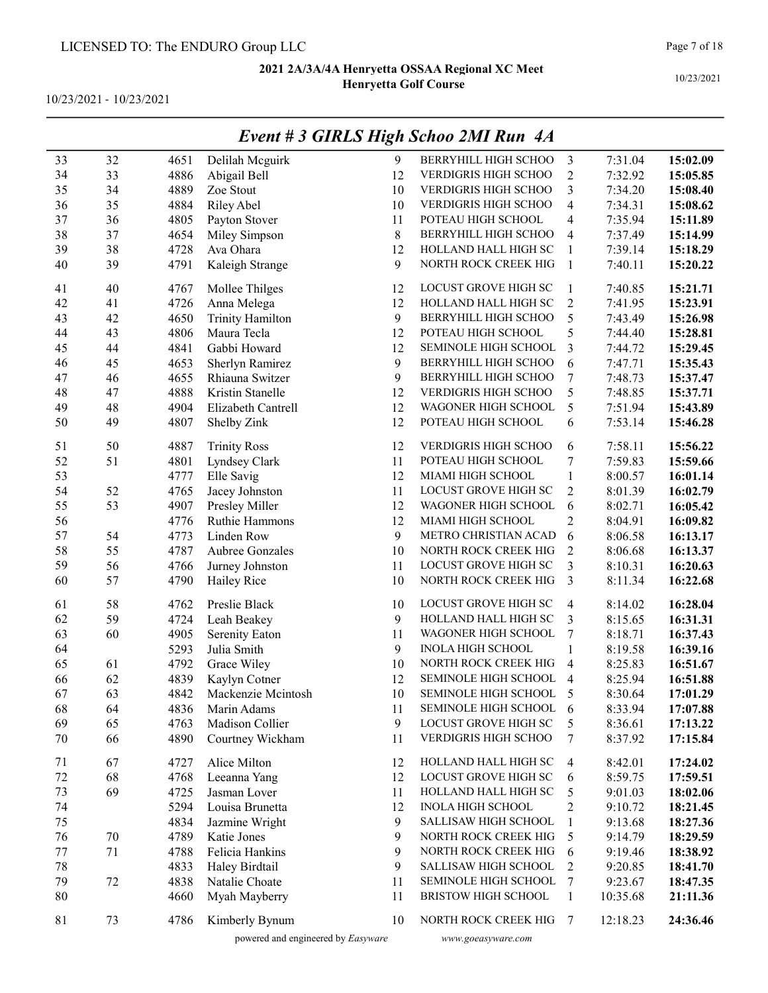10/23/2021 - 10/23/2021

|         |    |      |                         |       | EVENI # 3 GIRLS FIIGN SCNOO ZMI KUN 4A |                         |          |          |
|---------|----|------|-------------------------|-------|----------------------------------------|-------------------------|----------|----------|
| 33      | 32 | 4651 | Delilah Mcguirk         | 9     | BERRYHILL HIGH SCHOO                   | 3                       | 7:31.04  | 15:02.09 |
| 34      | 33 | 4886 | Abigail Bell            | 12    | VERDIGRIS HIGH SCHOO                   | $\overline{2}$          | 7:32.92  | 15:05.85 |
| 35      | 34 | 4889 | Zoe Stout               | 10    | VERDIGRIS HIGH SCHOO                   | $\overline{\mathbf{3}}$ | 7:34.20  | 15:08.40 |
| 36      | 35 | 4884 | Riley Abel              | 10    | VERDIGRIS HIGH SCHOO                   | $\overline{\mathbf{4}}$ | 7:34.31  | 15:08.62 |
| 37      | 36 | 4805 | Payton Stover           | 11    | POTEAU HIGH SCHOOL                     | 4                       | 7:35.94  | 15:11.89 |
| 38      | 37 | 4654 | Miley Simpson           | $8\,$ | BERRYHILL HIGH SCHOO                   | $\overline{\mathbf{4}}$ | 7:37.49  | 15:14.99 |
| 39      | 38 | 4728 | Ava Ohara               | 12    | HOLLAND HALL HIGH SC                   | 1                       | 7:39.14  | 15:18.29 |
| 40      | 39 | 4791 | Kaleigh Strange         | 9     | NORTH ROCK CREEK HIG                   | $\mathbf{1}$            | 7:40.11  | 15:20.22 |
| 41      | 40 | 4767 | Mollee Thilges          | 12    | LOCUST GROVE HIGH SC                   | $\mathbf{1}$            | 7:40.85  | 15:21.71 |
| 42      | 41 | 4726 | Anna Melega             | 12    | HOLLAND HALL HIGH SC                   | $\overline{c}$          | 7:41.95  | 15:23.91 |
| 43      | 42 | 4650 | <b>Trinity Hamilton</b> | 9     | BERRYHILL HIGH SCHOO                   | 5                       | 7:43.49  | 15:26.98 |
| 44      | 43 | 4806 | Maura Tecla             | 12    | POTEAU HIGH SCHOOL                     | 5                       | 7:44.40  | 15:28.81 |
| 45      | 44 | 4841 | Gabbi Howard            | 12    | SEMINOLE HIGH SCHOOL                   | $\overline{\mathbf{3}}$ | 7:44.72  | 15:29.45 |
| 46      | 45 | 4653 | Sherlyn Ramirez         | 9     | BERRYHILL HIGH SCHOO                   | 6                       | 7:47.71  | 15:35.43 |
| 47      | 46 | 4655 | Rhiauna Switzer         | 9     | BERRYHILL HIGH SCHOO                   | 7                       | 7:48.73  | 15:37.47 |
| 48      | 47 | 4888 | Kristin Stanelle        | 12    | VERDIGRIS HIGH SCHOO                   | 5                       | 7:48.85  | 15:37.71 |
| 49      | 48 | 4904 | Elizabeth Cantrell      | 12    | WAGONER HIGH SCHOOL                    | 5                       | 7:51.94  | 15:43.89 |
| 50      | 49 | 4807 | Shelby Zink             | 12    | POTEAU HIGH SCHOOL                     | 6                       | 7:53.14  | 15:46.28 |
| 51      | 50 | 4887 | <b>Trinity Ross</b>     | 12    | VERDIGRIS HIGH SCHOO                   | 6                       | 7:58.11  | 15:56.22 |
| 52      | 51 | 4801 | Lyndsey Clark           | 11    | POTEAU HIGH SCHOOL                     | 7                       | 7:59.83  | 15:59.66 |
| 53      |    | 4777 | Elle Savig              | 12    | MIAMI HIGH SCHOOL                      | $\mathbf{1}$            | 8:00.57  | 16:01.14 |
| 54      | 52 | 4765 | Jacey Johnston          | 11    | LOCUST GROVE HIGH SC                   | $\overline{c}$          | 8:01.39  | 16:02.79 |
| 55      | 53 | 4907 | Presley Miller          | 12    | WAGONER HIGH SCHOOL                    | 6                       | 8:02.71  | 16:05.42 |
| 56      |    | 4776 | Ruthie Hammons          | 12    | MIAMI HIGH SCHOOL                      | $\overline{2}$          | 8:04.91  | 16:09.82 |
| 57      | 54 | 4773 | Linden Row              | 9     | METRO CHRISTIAN ACAD                   | 6                       | 8:06.58  | 16:13.17 |
| 58      | 55 | 4787 | Aubree Gonzales         | 10    | NORTH ROCK CREEK HIG                   | $\overline{2}$          | 8:06.68  | 16:13.37 |
| 59      | 56 | 4766 | Jurney Johnston         | 11    | LOCUST GROVE HIGH SC                   | 3                       | 8:10.31  | 16:20.63 |
| 60      | 57 | 4790 | Hailey Rice             | 10    | NORTH ROCK CREEK HIG                   | 3                       | 8:11.34  | 16:22.68 |
| 61      | 58 | 4762 | Preslie Black           | 10    | LOCUST GROVE HIGH SC                   | 4                       | 8:14.02  | 16:28.04 |
| 62      | 59 | 4724 | Leah Beakey             | 9     | HOLLAND HALL HIGH SC                   | 3                       | 8:15.65  | 16:31.31 |
| 63      | 60 | 4905 | Serenity Eaton          | 11    | WAGONER HIGH SCHOOL                    | $\sqrt{ }$              | 8:18.71  | 16:37.43 |
| 64      |    | 5293 | Julia Smith             | 9     | <b>INOLA HIGH SCHOOL</b>               | $\mathbf{1}$            | 8:19.58  | 16:39.16 |
| 65      | 61 | 4792 | Grace Wiley             | 10    | NORTH ROCK CREEK HIG                   | $\overline{\mathbf{4}}$ | 8:25.83  | 16:51.67 |
| 66      | 62 | 4839 | Kaylyn Cotner           | 12    | SEMINOLE HIGH SCHOOL                   | 4                       | 8:25.94  | 16:51.88 |
| 67      | 63 | 4842 | Mackenzie Mcintosh      | 10    | SEMINOLE HIGH SCHOOL                   | 5                       | 8:30.64  | 17:01.29 |
| 68      | 64 | 4836 | Marin Adams             | 11    | SEMINOLE HIGH SCHOOL                   | 6                       | 8:33.94  | 17:07.88 |
| 69      | 65 | 4763 | Madison Collier         | 9     | LOCUST GROVE HIGH SC                   | 5                       | 8:36.61  | 17:13.22 |
| 70      | 66 | 4890 | Courtney Wickham        | 11    | VERDIGRIS HIGH SCHOO                   | 7                       | 8:37.92  | 17:15.84 |
| 71      | 67 | 4727 | Alice Milton            | 12    | HOLLAND HALL HIGH SC                   | 4                       | 8:42.01  | 17:24.02 |
| $72\,$  | 68 | 4768 | Leeanna Yang            | 12    | LOCUST GROVE HIGH SC                   | 6                       | 8:59.75  | 17:59.51 |
| 73      | 69 | 4725 | Jasman Lover            | 11    | HOLLAND HALL HIGH SC                   | 5                       | 9:01.03  | 18:02.06 |
| 74      |    | 5294 | Louisa Brunetta         | 12    | <b>INOLA HIGH SCHOOL</b>               | $\overline{c}$          | 9:10.72  | 18:21.45 |
| 75      |    | 4834 | Jazmine Wright          | 9     | SALLISAW HIGH SCHOOL                   | $\mathbf{1}$            | 9:13.68  | 18:27.36 |
| 76      | 70 | 4789 | Katie Jones             | 9     | NORTH ROCK CREEK HIG                   | 5                       | 9:14.79  | 18:29.59 |
| $77 \,$ | 71 | 4788 | Felicia Hankins         | 9     | NORTH ROCK CREEK HIG                   | 6                       | 9:19.46  | 18:38.92 |
| 78      |    | 4833 | Haley Birdtail          | 9     | SALLISAW HIGH SCHOOL                   | $\overline{c}$          | 9:20.85  | 18:41.70 |
| 79      | 72 | 4838 | Natalie Choate          | 11    | SEMINOLE HIGH SCHOOL                   | 7                       | 9:23.67  | 18:47.35 |
| $80\,$  |    | 4660 | Myah Mayberry           | 11    | BRISTOW HIGH SCHOOL                    | $\mathbf{1}$            | 10:35.68 | 21:11.36 |
| 81      | 73 | 4786 | Kimberly Bynum          | 10    | NORTH ROCK CREEK HIG                   | $7\phantom{.0}$         | 12:18.23 | 24:36.46 |

## Event # 3 GIRLS High Schoo 2MI Run 4A

powered and engineered by Easyware www.goeasyware.com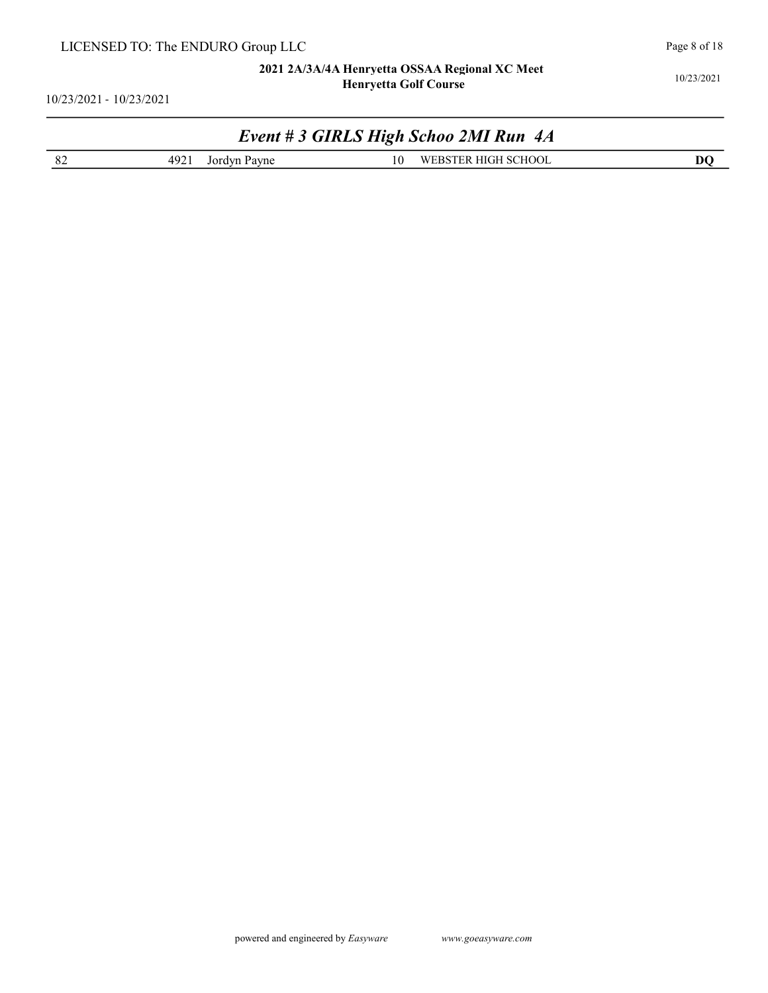10/23/2021 - 10/23/2021

## Event # 3 GIRLS High Schoo 2MI Run 4A

|--|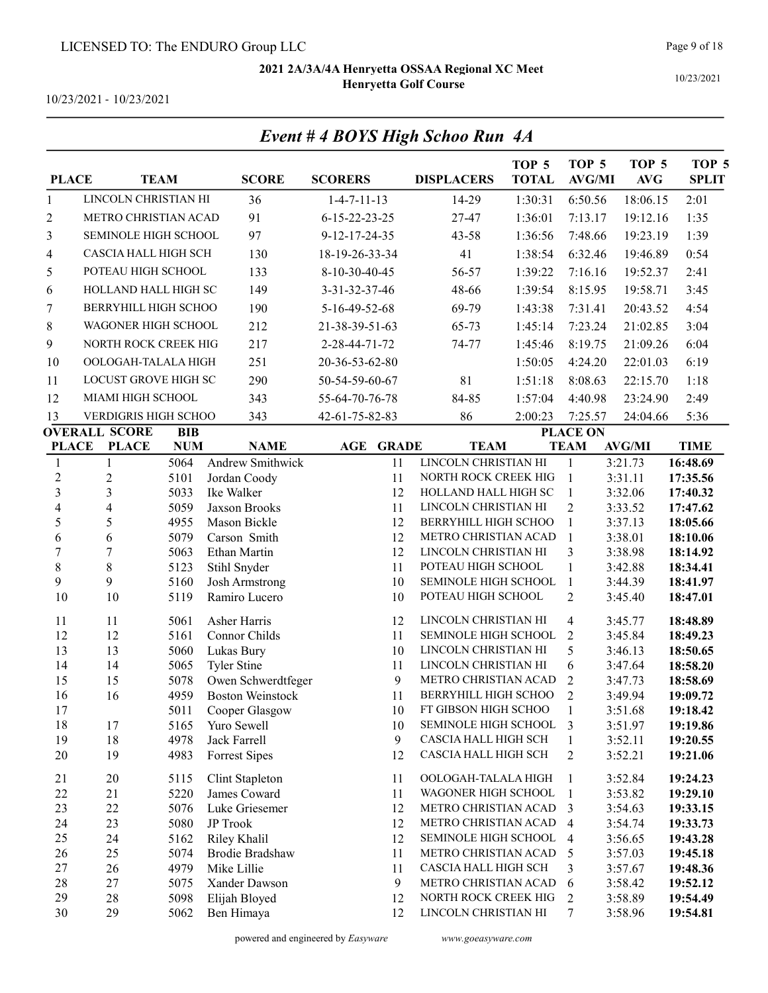Event # 4 BOYS High Schoo Run 4A

10/23/2021

10/23/2021 - 10/23/2021

| <b>PLACE</b>      |                             | <b>TEAM</b>        | <b>SCORE</b>                                  | <b>SCORERS</b>                       | <b>DISPLACERS</b>                            | TOP <sub>5</sub><br><b>TOTAL</b> | TOP <sub>5</sub><br><b>AVG/MI</b> | TOP <sub>5</sub><br><b>AVG</b> | TOP <sub>5</sub><br><b>SPLIT</b> |
|-------------------|-----------------------------|--------------------|-----------------------------------------------|--------------------------------------|----------------------------------------------|----------------------------------|-----------------------------------|--------------------------------|----------------------------------|
| 1                 | LINCOLN CHRISTIAN HI        |                    | 36                                            | $1 - 4 - 7 - 11 - 13$                | 14-29                                        | 1:30:31                          | 6:50.56                           | 18:06.15                       | 2:01                             |
| $\overline{c}$    | METRO CHRISTIAN ACAD        |                    | 91                                            | $6 - 15 - 22 - 23 - 25$              | 27-47                                        | 1:36:01                          | 7:13.17                           | 19:12.16                       | 1:35                             |
| 3                 | SEMINOLE HIGH SCHOOL        |                    | 97                                            | 9-12-17-24-35                        | 43-58                                        | 1:36:56                          | 7:48.66                           | 19:23.19                       | 1:39                             |
| 4                 | <b>CASCIA HALL HIGH SCH</b> |                    | 130                                           | 18-19-26-33-34                       | 41                                           | 1:38:54                          | 6:32.46                           | 19:46.89                       | 0:54                             |
| 5                 | POTEAU HIGH SCHOOL          |                    | 133                                           | 8-10-30-40-45                        | 56-57                                        | 1:39:22                          | 7:16.16                           | 19:52.37                       | 2:41                             |
| 6                 | HOLLAND HALL HIGH SC        |                    | 149                                           | 3-31-32-37-46                        | 48-66                                        | 1:39:54                          | 8:15.95                           | 19:58.71                       | 3:45                             |
| 7                 | <b>BERRYHILL HIGH SCHOO</b> |                    | 190                                           | 5-16-49-52-68                        | 69-79                                        | 1:43:38                          | 7:31.41                           | 20:43.52                       | 4:54                             |
| 8                 | <b>WAGONER HIGH SCHOOL</b>  |                    | 212                                           | 21-38-39-51-63                       | 65-73                                        | 1:45:14                          | 7:23.24                           | 21:02.85                       | 3:04                             |
| 9                 | NORTH ROCK CREEK HIG        |                    | 217                                           | 2-28-44-71-72                        | 74-77                                        | 1:45:46                          | 8:19.75                           | 21:09.26                       | 6:04                             |
|                   |                             |                    |                                               |                                      |                                              |                                  |                                   |                                |                                  |
| 10                | OOLOGAH-TALALA HIGH         |                    | 251                                           | 20-36-53-62-80                       |                                              | 1:50:05                          | 4:24.20                           | 22:01.03                       | 6:19                             |
| 11                | LOCUST GROVE HIGH SC        |                    | 290                                           | 50-54-59-60-67                       | 81                                           | 1:51:18                          | 8:08.63                           | 22:15.70                       | 1:18                             |
| 12                | MIAMI HIGH SCHOOL           |                    | 343                                           | 55-64-70-76-78                       | 84-85                                        | 1:57:04                          | 4:40.98                           | 23:24.90                       | 2:49                             |
| 13                | VERDIGRIS HIGH SCHOO        |                    | 343                                           | 42-61-75-82-83                       | 86                                           | 2:00:23                          | 7:25.57                           | 24:04.66                       | 5:36                             |
|                   | <b>OVERALL SCORE</b>        | <b>BIB</b>         |                                               |                                      | <b>TEAM</b>                                  |                                  | <b>PLACE ON</b>                   |                                |                                  |
| <b>PLACE</b><br>1 | <b>PLACE</b><br>1           | <b>NUM</b><br>5064 | <b>NAME</b><br>Andrew Smithwick               | <b>GRADE</b><br>$\mathbf{AGE}$<br>11 | LINCOLN CHRISTIAN HI                         |                                  | <b>TEAM</b><br>1                  | <b>AVG/MI</b><br>3:21.73       | <b>TIME</b><br>16:48.69          |
| $\overline{2}$    | $\overline{c}$              | 5101               | Jordan Coody                                  | 11                                   | NORTH ROCK CREEK HIG                         |                                  | $\mathbf{1}$                      | 3:31.11                        | 17:35.56                         |
| $\overline{3}$    | $\overline{3}$              | 5033               | Ike Walker                                    | 12                                   | HOLLAND HALL HIGH SC                         |                                  | 1                                 | 3:32.06                        | 17:40.32                         |
| 4                 | $\overline{\mathbf{4}}$     | 5059               | Jaxson Brooks                                 | 11                                   | LINCOLN CHRISTIAN HI                         |                                  | $\overline{2}$                    | 3:33.52                        | 17:47.62                         |
| 5                 | 5                           | 4955               | Mason Bickle                                  | 12                                   | BERRYHILL HIGH SCHOO                         |                                  | $\mathbf{1}$                      | 3:37.13                        | 18:05.66                         |
| 6                 | 6                           | 5079               | Carson Smith                                  | 12                                   | METRO CHRISTIAN ACAD                         |                                  | $\mathbf{1}$                      | 3:38.01                        | 18:10.06                         |
| $\overline{7}$    | $\overline{7}$              | 5063               | Ethan Martin                                  | 12                                   | LINCOLN CHRISTIAN HI                         |                                  | 3                                 | 3:38.98                        | 18:14.92                         |
| $\,8\,$           | $8\,$                       | 5123               | Stihl Snyder                                  | 11                                   | POTEAU HIGH SCHOOL                           |                                  | $\mathbf{1}$                      | 3:42.88                        | 18:34.41                         |
| 9                 | 9                           | 5160               | <b>Josh Armstrong</b>                         | 10                                   | SEMINOLE HIGH SCHOOL                         |                                  | $\mathbf{1}$<br>$\overline{2}$    | 3:44.39                        | 18:41.97                         |
| 10                | 10                          | 5119               | Ramiro Lucero                                 | 10                                   | POTEAU HIGH SCHOOL                           |                                  |                                   | 3:45.40                        | 18:47.01                         |
| 11                | 11                          | 5061               | Asher Harris                                  | 12                                   | LINCOLN CHRISTIAN HI                         |                                  | $\overline{4}$                    | 3:45.77                        | 18:48.89                         |
| 12                | 12                          | 5161               | Connor Childs                                 | 11                                   | SEMINOLE HIGH SCHOOL                         |                                  | $\overline{2}$                    | 3:45.84                        | 18:49.23                         |
| 13                | 13                          | 5060               | Lukas Bury                                    | 10                                   | LINCOLN CHRISTIAN HI                         |                                  | 5                                 | 3:46.13                        | 18:50.65                         |
| 14                | 14                          | 5065               | <b>Tyler Stine</b>                            | 11                                   | LINCOLN CHRISTIAN HI<br>METRO CHRISTIAN ACAD |                                  | 6                                 | 3:47.64                        | 18:58.20                         |
| 15<br>16          | 15<br>16                    | 5078<br>4959       | Owen Schwerdtfeger<br><b>Boston Weinstock</b> | 9<br>11                              | BERRYHILL HIGH SCHOO                         |                                  | $\overline{2}$<br>2               | 3:47.73<br>3:49.94             | 18:58.69<br>19:09.72             |
| 17                |                             | 5011               | Cooper Glasgow                                | 10                                   | FT GIBSON HIGH SCHOO                         |                                  |                                   | 3:51.68                        | 19:18.42                         |
| 18                | 17                          | 5165               | Yuro Sewell                                   | 10                                   | SEMINOLE HIGH SCHOOL                         |                                  | 3                                 | 3:51.97                        | 19:19.86                         |
| 19                | 18                          | 4978               | Jack Farrell                                  | 9                                    | CASCIA HALL HIGH SCH                         |                                  | 1                                 | 3:52.11                        | 19:20.55                         |
| 20                | 19                          | 4983               | Forrest Sipes                                 | 12                                   | CASCIA HALL HIGH SCH                         |                                  | 2                                 | 3:52.21                        | 19:21.06                         |
| 21                | 20                          | 5115               | Clint Stapleton                               | 11                                   | OOLOGAH-TALALA HIGH                          |                                  | 1                                 | 3:52.84                        | 19:24.23                         |
| 22                | 21                          | 5220               | James Coward                                  | 11                                   | WAGONER HIGH SCHOOL                          |                                  | $\mathbf{1}$                      | 3:53.82                        | 19:29.10                         |
| 23                | 22                          | 5076               | Luke Griesemer                                | 12                                   | METRO CHRISTIAN ACAD                         |                                  | 3                                 | 3:54.63                        | 19:33.15                         |
| 24                | 23                          | 5080               | JP Trook                                      | 12                                   | METRO CHRISTIAN ACAD                         |                                  | $\overline{4}$                    | 3:54.74                        | 19:33.73                         |
| 25                | 24                          | 5162               | Riley Khalil                                  | 12                                   | SEMINOLE HIGH SCHOOL                         |                                  | 4                                 | 3:56.65                        | 19:43.28                         |
| 26                | 25                          | 5074               | Brodie Bradshaw                               | 11                                   | METRO CHRISTIAN ACAD                         |                                  | 5                                 | 3:57.03                        | 19:45.18                         |
| 27                | 26                          | 4979               | Mike Lillie                                   | 11                                   | CASCIA HALL HIGH SCH                         |                                  | 3                                 | 3:57.67                        | 19:48.36                         |
| 28<br>29          | 27                          | 5075               | Xander Dawson                                 | 9                                    | METRO CHRISTIAN ACAD<br>NORTH ROCK CREEK HIG |                                  | 6                                 | 3:58.42                        | 19:52.12                         |
| 30                | 28<br>29                    | 5098<br>5062       | Elijah Bloyed<br>Ben Himaya                   | 12<br>12                             | LINCOLN CHRISTIAN HI                         |                                  | $\overline{c}$<br>7               | 3:58.89<br>3:58.96             | 19:54.49<br>19:54.81             |
|                   |                             |                    |                                               |                                      |                                              |                                  |                                   |                                |                                  |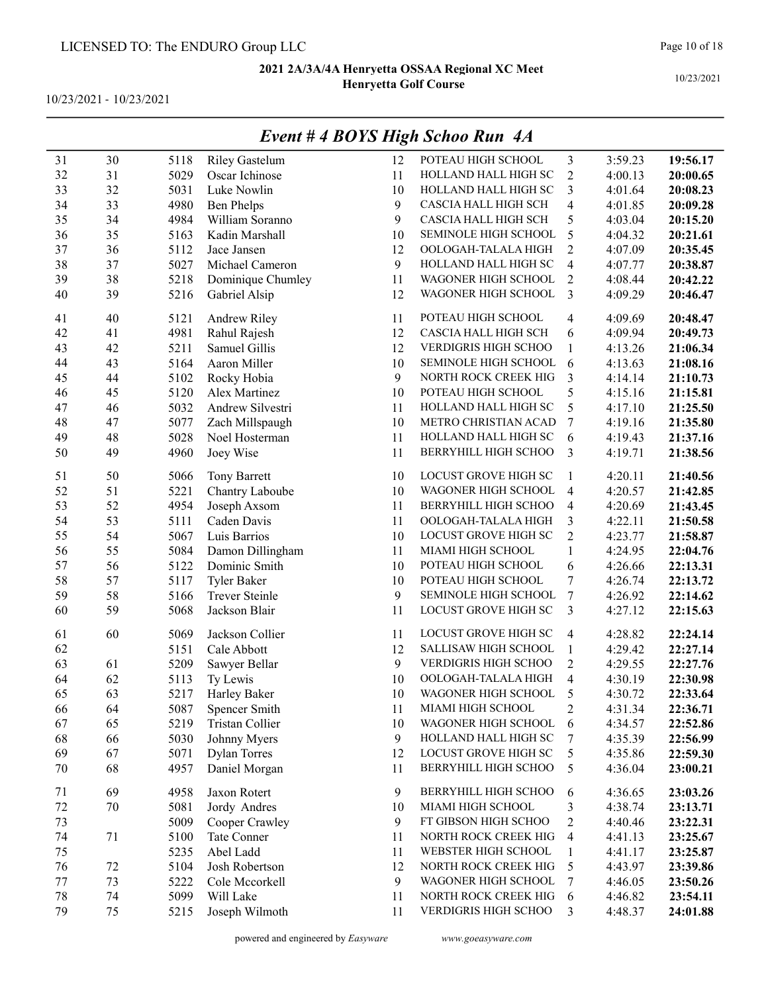10/23/2021 - 10/23/2021

|    |    |      |                       |    | $L$ veni # 4 DOTS Tugn Schoo Kun $A$ A |                         |         |          |
|----|----|------|-----------------------|----|----------------------------------------|-------------------------|---------|----------|
| 31 | 30 | 5118 | <b>Riley Gastelum</b> | 12 | POTEAU HIGH SCHOOL                     | 3                       | 3:59.23 | 19:56.17 |
| 32 | 31 | 5029 | Oscar Ichinose        | 11 | HOLLAND HALL HIGH SC                   | $\sqrt{2}$              | 4:00.13 | 20:00.65 |
| 33 | 32 | 5031 | Luke Nowlin           | 10 | HOLLAND HALL HIGH SC                   | 3                       | 4:01.64 | 20:08.23 |
| 34 | 33 | 4980 | <b>Ben Phelps</b>     | 9  | CASCIA HALL HIGH SCH                   | $\overline{\mathbf{4}}$ | 4:01.85 | 20:09.28 |
| 35 | 34 | 4984 | William Soranno       | 9  | CASCIA HALL HIGH SCH                   | 5                       | 4:03.04 | 20:15.20 |
| 36 | 35 | 5163 | Kadin Marshall        | 10 | SEMINOLE HIGH SCHOOL                   | 5                       | 4:04.32 | 20:21.61 |
| 37 | 36 | 5112 | Jace Jansen           | 12 | OOLOGAH-TALALA HIGH                    | $\overline{2}$          | 4:07.09 | 20:35.45 |
| 38 | 37 | 5027 | Michael Cameron       | 9  | HOLLAND HALL HIGH SC                   | $\overline{4}$          | 4:07.77 | 20:38.87 |
| 39 | 38 | 5218 | Dominique Chumley     | 11 | WAGONER HIGH SCHOOL                    | $\overline{2}$          | 4:08.44 | 20:42.22 |
| 40 | 39 | 5216 | Gabriel Alsip         | 12 | WAGONER HIGH SCHOOL                    | 3                       | 4:09.29 | 20:46.47 |
| 41 | 40 | 5121 | Andrew Riley          | 11 | POTEAU HIGH SCHOOL                     | $\overline{4}$          | 4:09.69 | 20:48.47 |
| 42 | 41 | 4981 | Rahul Rajesh          | 12 | CASCIA HALL HIGH SCH                   | 6                       | 4:09.94 | 20:49.73 |
| 43 | 42 | 5211 | Samuel Gillis         | 12 | VERDIGRIS HIGH SCHOO                   | $\mathbf{1}$            | 4:13.26 | 21:06.34 |
| 44 | 43 | 5164 | Aaron Miller          | 10 | SEMINOLE HIGH SCHOOL                   | 6                       | 4:13.63 | 21:08.16 |
| 45 | 44 | 5102 | Rocky Hobia           | 9  | NORTH ROCK CREEK HIG                   | 3                       | 4:14.14 | 21:10.73 |
| 46 | 45 | 5120 | Alex Martinez         | 10 | POTEAU HIGH SCHOOL                     | 5                       | 4:15.16 | 21:15.81 |
| 47 | 46 | 5032 | Andrew Silvestri      | 11 | HOLLAND HALL HIGH SC                   | 5                       | 4:17.10 | 21:25.50 |
| 48 | 47 | 5077 | Zach Millspaugh       | 10 | METRO CHRISTIAN ACAD                   | $\boldsymbol{7}$        | 4:19.16 | 21:35.80 |
| 49 | 48 | 5028 | Noel Hosterman        | 11 | HOLLAND HALL HIGH SC                   | 6                       | 4:19.43 | 21:37.16 |
| 50 | 49 | 4960 | Joey Wise             | 11 | BERRYHILL HIGH SCHOO                   | 3                       | 4:19.71 | 21:38.56 |
| 51 | 50 | 5066 | <b>Tony Barrett</b>   | 10 | LOCUST GROVE HIGH SC                   | 1                       | 4:20.11 | 21:40.56 |
| 52 | 51 | 5221 | Chantry Laboube       | 10 | WAGONER HIGH SCHOOL                    | $\overline{4}$          | 4:20.57 | 21:42.85 |
| 53 | 52 | 4954 | Joseph Axsom          | 11 | BERRYHILL HIGH SCHOO                   | $\overline{4}$          | 4:20.69 | 21:43.45 |
| 54 | 53 | 5111 | Caden Davis           | 11 | OOLOGAH-TALALA HIGH                    | 3                       | 4:22.11 | 21:50.58 |
| 55 | 54 | 5067 | Luis Barrios          | 10 | LOCUST GROVE HIGH SC                   | $\overline{2}$          | 4:23.77 | 21:58.87 |
| 56 | 55 | 5084 | Damon Dillingham      | 11 | MIAMI HIGH SCHOOL                      | $\mathbf{1}$            | 4:24.95 | 22:04.76 |
| 57 | 56 | 5122 | Dominic Smith         | 10 | POTEAU HIGH SCHOOL                     | $\sqrt{6}$              | 4:26.66 | 22:13.31 |
| 58 | 57 | 5117 | Tyler Baker           | 10 | POTEAU HIGH SCHOOL                     | $\tau$                  | 4:26.74 | 22:13.72 |
| 59 | 58 | 5166 | <b>Trever Steinle</b> | 9  | SEMINOLE HIGH SCHOOL                   | $\tau$                  | 4:26.92 | 22:14.62 |
| 60 | 59 | 5068 | Jackson Blair         | 11 | LOCUST GROVE HIGH SC                   | 3                       | 4:27.12 | 22:15.63 |
| 61 | 60 | 5069 | Jackson Collier       | 11 | LOCUST GROVE HIGH SC                   | $\overline{4}$          | 4:28.82 | 22:24.14 |
| 62 |    | 5151 | Cale Abbott           | 12 | SALLISAW HIGH SCHOOL                   | $\mathbf{1}$            | 4:29.42 | 22:27.14 |
| 63 | 61 | 5209 | Sawyer Bellar         | 9  | VERDIGRIS HIGH SCHOO                   | $\overline{2}$          | 4:29.55 | 22:27.76 |
| 64 | 62 | 5113 | Ty Lewis              | 10 | OOLOGAH-TALALA HIGH                    | $\overline{4}$          | 4:30.19 | 22:30.98 |
| 65 | 63 | 5217 | Harley Baker          | 10 | WAGONER HIGH SCHOOL                    | 5                       | 4:30.72 | 22:33.64 |
| 66 | 64 | 5087 | Spencer Smith         | 11 | MIAMI HIGH SCHOOL                      | $\overline{c}$          | 4:31.34 | 22:36.71 |
| 67 | 65 | 5219 | Tristan Collier       | 10 | WAGONER HIGH SCHOOL                    | 6                       | 4:34.57 | 22:52.86 |
| 68 | 66 | 5030 | Johnny Myers          | 9  | HOLLAND HALL HIGH SC                   | 7                       | 4:35.39 | 22:56.99 |
| 69 | 67 | 5071 | <b>Dylan Torres</b>   | 12 | LOCUST GROVE HIGH SC                   | 5                       | 4:35.86 | 22:59.30 |
| 70 | 68 | 4957 | Daniel Morgan         | 11 | BERRYHILL HIGH SCHOO                   | 5                       | 4:36.04 | 23:00.21 |
| 71 | 69 | 4958 | Jaxon Rotert          | 9  | BERRYHILL HIGH SCHOO                   | 6                       | 4:36.65 | 23:03.26 |
| 72 | 70 | 5081 | Jordy Andres          | 10 | MIAMI HIGH SCHOOL                      | 3                       | 4:38.74 | 23:13.71 |
| 73 |    | 5009 | Cooper Crawley        | 9  | FT GIBSON HIGH SCHOO                   | $\overline{c}$          | 4:40.46 | 23:22.31 |
| 74 | 71 | 5100 | Tate Conner           | 11 | NORTH ROCK CREEK HIG                   | $\overline{4}$          | 4:41.13 | 23:25.67 |
| 75 |    | 5235 | Abel Ladd             | 11 | WEBSTER HIGH SCHOOL                    | $\mathbf{1}$            | 4:41.17 | 23:25.87 |
| 76 | 72 | 5104 | Josh Robertson        | 12 | NORTH ROCK CREEK HIG                   | 5                       | 4:43.97 | 23:39.86 |
| 77 | 73 | 5222 | Cole Mccorkell        | 9  | WAGONER HIGH SCHOOL                    | 7                       | 4:46.05 | 23:50.26 |
| 78 | 74 | 5099 | Will Lake             | 11 | NORTH ROCK CREEK HIG                   | 6                       | 4:46.82 | 23:54.11 |
| 79 | 75 | 5215 | Joseph Wilmoth        | 11 | VERDIGRIS HIGH SCHOO                   | 3                       | 4:48.37 | 24:01.88 |
|    |    |      |                       |    |                                        |                         |         |          |

## Event # 4 BOYS High Schoo Run 4A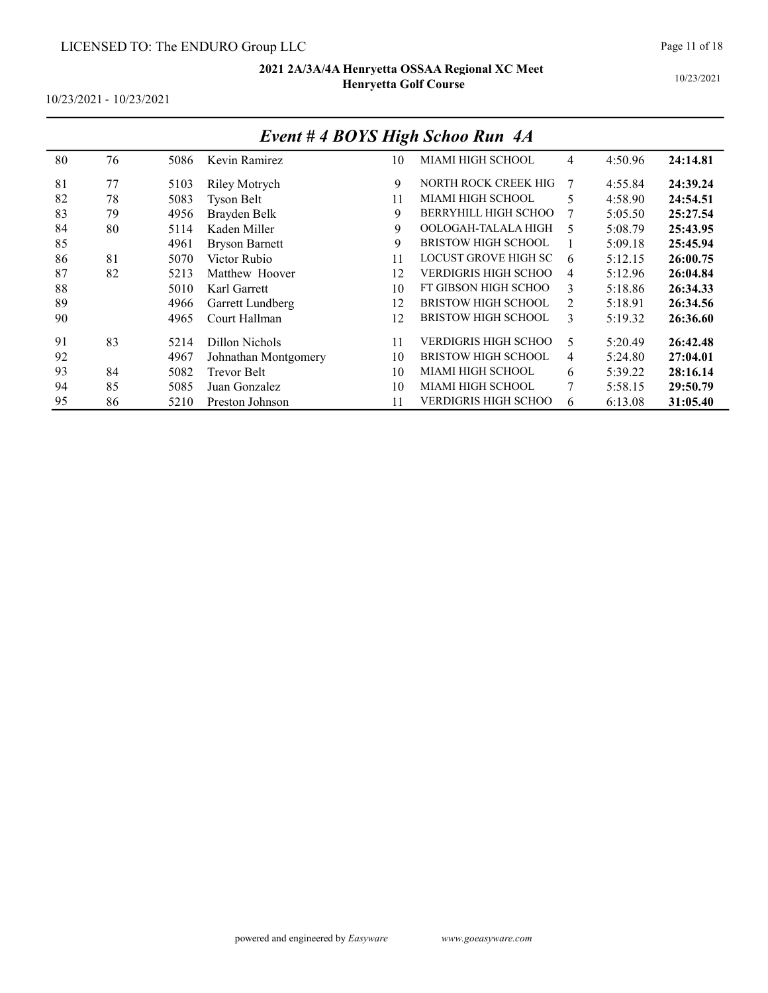10/23/2021 - 10/23/2021

|    | EVENI # 4 DUIS FIIGN SCNOO KUN 4A |      |                       |    |                             |   |         |          |  |  |  |  |  |
|----|-----------------------------------|------|-----------------------|----|-----------------------------|---|---------|----------|--|--|--|--|--|
| 80 | 76                                | 5086 | Kevin Ramirez         | 10 | MIAMI HIGH SCHOOL           | 4 | 4:50.96 | 24:14.81 |  |  |  |  |  |
| 81 | 77                                | 5103 | Riley Motrych         | 9  | NORTH ROCK CREEK HIG        | 7 | 4:55.84 | 24:39.24 |  |  |  |  |  |
| 82 | 78                                | 5083 | <b>Tyson Belt</b>     | 11 | MIAMI HIGH SCHOOL           | 5 | 4:58.90 | 24:54.51 |  |  |  |  |  |
| 83 | 79                                | 4956 | Brayden Belk          | 9  | BERRYHILL HIGH SCHOO        | 7 | 5:05.50 | 25:27.54 |  |  |  |  |  |
| 84 | 80                                | 5114 | Kaden Miller          | 9  | OOLOGAH-TALALA HIGH         | 5 | 5:08.79 | 25:43.95 |  |  |  |  |  |
| 85 |                                   | 4961 | <b>Bryson Barnett</b> | 9  | <b>BRISTOW HIGH SCHOOL</b>  |   | 5:09.18 | 25:45.94 |  |  |  |  |  |
| 86 | 81                                | 5070 | Victor Rubio          | 11 | LOCUST GROVE HIGH SC        | 6 | 5:12.15 | 26:00.75 |  |  |  |  |  |
| 87 | 82                                | 5213 | Matthew Hoover        | 12 | VERDIGRIS HIGH SCHOO        | 4 | 5:12.96 | 26:04.84 |  |  |  |  |  |
| 88 |                                   | 5010 | Karl Garrett          | 10 | FT GIBSON HIGH SCHOO        | 3 | 5:18.86 | 26:34.33 |  |  |  |  |  |
| 89 |                                   | 4966 | Garrett Lundberg      | 12 | <b>BRISTOW HIGH SCHOOL</b>  | 2 | 5:18.91 | 26:34.56 |  |  |  |  |  |
| 90 |                                   | 4965 | Court Hallman         | 12 | <b>BRISTOW HIGH SCHOOL</b>  | 3 | 5:19.32 | 26:36.60 |  |  |  |  |  |
| 91 | 83                                | 5214 | Dillon Nichols        | 11 | VERDIGRIS HIGH SCHOO        | 5 | 5:20.49 | 26:42.48 |  |  |  |  |  |
| 92 |                                   | 4967 | Johnathan Montgomery  | 10 | <b>BRISTOW HIGH SCHOOL</b>  | 4 | 5:24.80 | 27:04.01 |  |  |  |  |  |
| 93 | 84                                | 5082 | Trevor Belt           | 10 | MIAMI HIGH SCHOOL           | 6 | 5:39.22 | 28:16.14 |  |  |  |  |  |
| 94 | 85                                | 5085 | Juan Gonzalez         | 10 | MIAMI HIGH SCHOOL           | 7 | 5:58.15 | 29:50.79 |  |  |  |  |  |
| 95 | 86                                | 5210 | Preston Johnson       | 11 | <b>VERDIGRIS HIGH SCHOO</b> | 6 | 6:13.08 | 31:05.40 |  |  |  |  |  |

## Event # 4 BOYS High Schoo Run 4A

Page 11 of 18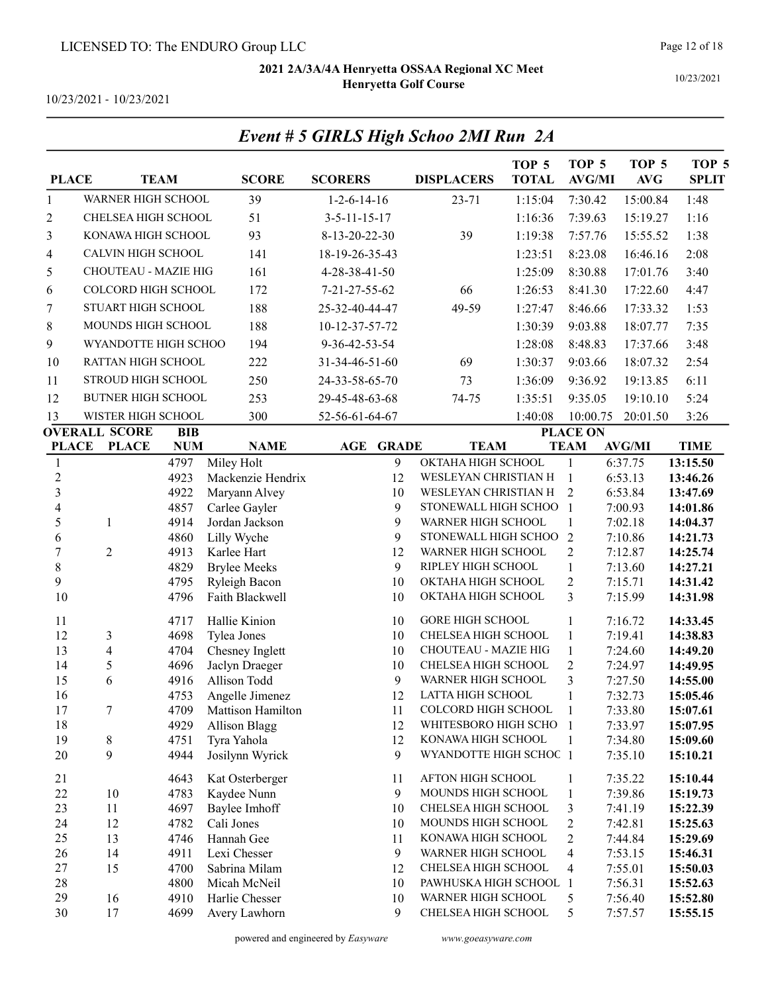10/23/2021

10/23/2021 - 10/23/2021

| <b>PLACE</b>                   |                           | <b>TEAM</b>  | <b>SCORE</b>                         | <b>SCORERS</b>                 | <b>DISPLACERS</b>                        | TOP 5<br><b>TOTAL</b> | TOP <sub>5</sub><br><b>AVG/MI</b> | TOP <sub>5</sub><br><b>AVG</b> | TOP <sub>5</sub><br><b>SPLIT</b> |
|--------------------------------|---------------------------|--------------|--------------------------------------|--------------------------------|------------------------------------------|-----------------------|-----------------------------------|--------------------------------|----------------------------------|
| $\mathbf{1}$                   | WARNER HIGH SCHOOL        |              | 39                                   | $1 - 2 - 6 - 14 - 16$          | $23 - 71$                                | 1:15:04               | 7:30.42                           | 15:00.84                       | 1:48                             |
| 2                              | CHELSEA HIGH SCHOOL       |              | 51                                   | $3 - 5 - 11 - 15 - 17$         |                                          | 1:16:36               | 7:39.63                           | 15:19.27                       | 1:16                             |
| 3                              | KONAWA HIGH SCHOOL        |              | 93                                   | 8-13-20-22-30                  | 39                                       | 1:19:38               | 7:57.76                           | 15:55.52                       | 1:38                             |
| 4                              | CALVIN HIGH SCHOOL        |              | 141                                  | 18-19-26-35-43                 |                                          | 1:23:51               | 8:23.08                           | 16:46.16                       | 2:08                             |
| 5                              | CHOUTEAU - MAZIE HIG      |              | 161                                  | 4-28-38-41-50                  |                                          | 1:25:09               | 8:30.88                           | 17:01.76                       | 3:40                             |
| 6                              | COLCORD HIGH SCHOOL       |              | 172                                  | 7-21-27-55-62                  | 66                                       | 1:26:53               | 8:41.30                           | 17:22.60                       | 4:47                             |
| 7                              | STUART HIGH SCHOOL        |              | 188                                  | 25-32-40-44-47                 | 49-59                                    | 1:27:47               | 8:46.66                           | 17:33.32                       | 1:53                             |
| 8                              | MOUNDS HIGH SCHOOL        |              | 188                                  | 10-12-37-57-72                 |                                          | 1:30:39               | 9:03.88                           | 18:07.77                       | 7:35                             |
|                                | WYANDOTTE HIGH SCHOO      |              |                                      |                                |                                          |                       |                                   |                                |                                  |
| 9                              |                           |              | 194                                  | 9-36-42-53-54                  |                                          | 1:28:08               | 8:48.83                           | 17:37.66                       | 3:48                             |
| 10                             | <b>RATTAN HIGH SCHOOL</b> |              | 222                                  | 31-34-46-51-60                 | 69                                       | 1:30:37               | 9:03.66                           | 18:07.32                       | 2:54                             |
| 11                             | STROUD HIGH SCHOOL        |              | 250                                  | 24-33-58-65-70                 | 73                                       | 1:36:09               | 9:36.92                           | 19:13.85                       | 6:11                             |
| 12                             | <b>BUTNER HIGH SCHOOL</b> |              | 253                                  | 29-45-48-63-68                 | 74-75                                    | 1:35:51               | 9:35.05                           | 19:10.10                       | 5:24                             |
| 13                             | WISTER HIGH SCHOOL        |              | 300                                  | 52-56-61-64-67                 |                                          | 1:40:08               | 10:00.75                          | 20:01.50                       | 3:26                             |
|                                | <b>OVERALL SCORE</b>      | <b>BIB</b>   |                                      |                                |                                          |                       | <b>PLACE ON</b>                   |                                |                                  |
| <b>PLACE</b>                   | <b>PLACE</b>              | <b>NUM</b>   | <b>NAME</b>                          | <b>GRADE</b><br>$\mathbf{AGE}$ | <b>TEAM</b><br>OKTAHA HIGH SCHOOL        |                       | <b>TEAM</b>                       | <b>AVG/MI</b>                  | <b>TIME</b>                      |
| $\mathbf{1}$<br>$\overline{c}$ |                           | 4797<br>4923 | Miley Holt<br>Mackenzie Hendrix      | 9<br>12                        | WESLEYAN CHRISTIAN H                     |                       | $\mathbf{1}$<br>1                 | 6:37.75<br>6:53.13             | 13:15.50<br>13:46.26             |
| $\overline{\mathbf{3}}$        |                           | 4922         | Maryann Alvey                        | 10                             | WESLEYAN CHRISTIAN H                     |                       | $\overline{2}$                    | 6:53.84                        | 13:47.69                         |
| $\overline{\mathcal{L}}$       |                           | 4857         | Carlee Gayler                        | 9                              | STONEWALL HIGH SCHOO                     |                       | $\overline{1}$                    | 7:00.93                        | 14:01.86                         |
| 5                              | 1                         | 4914         | Jordan Jackson                       | 9                              | WARNER HIGH SCHOOL                       |                       | 1                                 | 7:02.18                        | 14:04.37                         |
| 6                              |                           | 4860         | Lilly Wyche                          | 9                              | STONEWALL HIGH SCHOO                     |                       | $\overline{2}$                    | 7:10.86                        | 14:21.73                         |
| $\overline{7}$                 | $\overline{2}$            | 4913         | Karlee Hart                          | 12                             | WARNER HIGH SCHOOL                       |                       | $\overline{2}$                    | 7:12.87                        | 14:25.74                         |
| 8                              |                           | 4829         | <b>Brylee Meeks</b>                  | 9                              | RIPLEY HIGH SCHOOL                       |                       | $\mathbf{1}$                      | 7:13.60                        | 14:27.21                         |
| 9                              |                           | 4795         | Ryleigh Bacon                        | 10                             | OKTAHA HIGH SCHOOL                       |                       | $\sqrt{2}$                        | 7:15.71                        | 14:31.42                         |
| 10                             |                           | 4796         | Faith Blackwell                      | 10                             | OKTAHA HIGH SCHOOL                       |                       | 3                                 | 7:15.99                        | 14:31.98                         |
| 11                             |                           | 4717         | Hallie Kinion                        | 10                             | <b>GORE HIGH SCHOOL</b>                  |                       | 1                                 | 7:16.72                        | 14:33.45                         |
| 12                             | 3                         | 4698         | Tylea Jones                          | 10                             | CHELSEA HIGH SCHOOL                      |                       | $\mathbf{1}$                      | 7:19.41                        | 14:38.83                         |
| 13                             | $\overline{4}$            | 4704         | Chesney Inglett                      | 10                             | CHOUTEAU - MAZIE HIG                     |                       | $\mathbf{1}$                      | 7:24.60                        | 14:49.20                         |
| 14                             | 5                         | 4696         | Jaclyn Draeger                       | 10                             | CHELSEA HIGH SCHOOL                      |                       | $\mathbf{2}$                      | 7:24.97                        | 14:49.95                         |
| 15                             | 6                         | 4916         | Allison Todd                         | 9                              | WARNER HIGH SCHOOL                       |                       | 3                                 | 7:27.50                        | 14:55.00                         |
| 16<br>17                       |                           | 4753<br>4709 | Angelle Jimenez<br>Mattison Hamilton | 12<br>11                       | LATTA HIGH SCHOOL<br>COLCORD HIGH SCHOOL |                       | 1<br>1                            | 7:32.73                        | 15:05.46<br>15:07.61             |
| 18                             | 7                         | 4929         | <b>Allison Blagg</b>                 | 12                             | WHITESBORO HIGH SCHO                     |                       | -1                                | 7:33.80<br>7:33.97             | 15:07.95                         |
| 19                             | 8                         | 4751         | Tyra Yahola                          | 12                             | KONAWA HIGH SCHOOL                       |                       | $\mathbf{1}$                      | 7:34.80                        | 15:09.60                         |
| 20                             | 9                         | 4944         | Josilynn Wyrick                      | 9                              | WYANDOTTE HIGH SCHOC 1                   |                       |                                   | 7:35.10                        | 15:10.21                         |
| 21                             |                           | 4643         | Kat Osterberger                      | 11                             | AFTON HIGH SCHOOL                        |                       | $\mathbf{1}$                      | 7:35.22                        | 15:10.44                         |
| 22                             | 10                        | 4783         | Kaydee Nunn                          | 9                              | MOUNDS HIGH SCHOOL                       |                       | $\mathbf{1}$                      | 7:39.86                        | 15:19.73                         |
| 23                             | 11                        | 4697         | Baylee Imhoff                        | 10                             | CHELSEA HIGH SCHOOL                      |                       | 3                                 | 7:41.19                        | 15:22.39                         |
| 24                             | 12                        | 4782         | Cali Jones                           | 10                             | MOUNDS HIGH SCHOOL                       |                       | $\overline{c}$                    | 7:42.81                        | 15:25.63                         |
| 25                             | 13                        | 4746         | Hannah Gee                           | 11                             | KONAWA HIGH SCHOOL                       |                       | $\overline{c}$                    | 7:44.84                        | 15:29.69                         |
| 26                             | 14                        | 4911         | Lexi Chesser                         | 9                              | WARNER HIGH SCHOOL                       |                       | $\overline{4}$                    | 7:53.15                        | 15:46.31                         |
| 27                             | 15                        | 4700         | Sabrina Milam                        | 12                             | CHELSEA HIGH SCHOOL                      |                       | $\overline{4}$                    | 7:55.01                        | 15:50.03                         |
| 28                             |                           | 4800         | Micah McNeil                         | 10                             | PAWHUSKA HIGH SCHOOL 1                   |                       |                                   | 7:56.31                        | 15:52.63                         |
| 29                             | 16                        | 4910         | Harlie Chesser                       | 10                             | WARNER HIGH SCHOOL                       |                       | 5                                 | 7:56.40                        | 15:52.80                         |
| 30                             | 17                        | 4699         | Avery Lawhorn                        | 9                              | CHELSEA HIGH SCHOOL                      |                       | 5                                 | 7:57.57                        | 15:55.15                         |

## Event # 5 GIRLS High Schoo 2MI Run 2A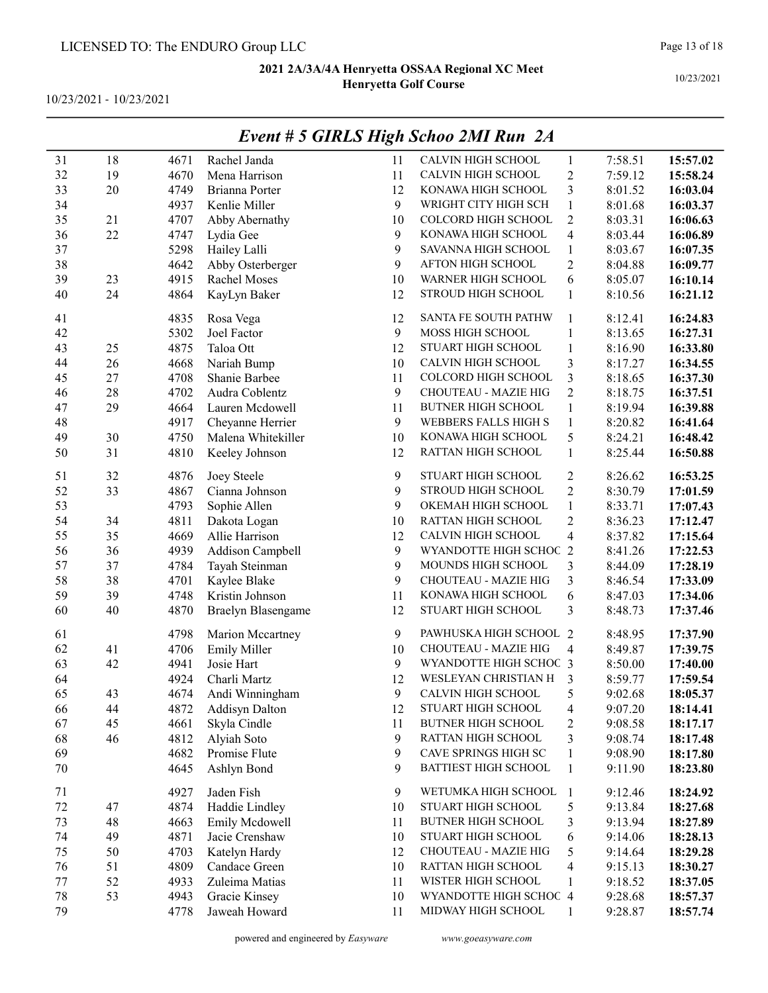10/23/2021 - 10/23/2021

|        |        |      |                       |                | $E$ veni + 3 GIRLS $H$ igh Schoo $Z$ nii Kun $Z$ A |                         |         |          |
|--------|--------|------|-----------------------|----------------|----------------------------------------------------|-------------------------|---------|----------|
| 31     | 18     | 4671 | Rachel Janda          | 11             | CALVIN HIGH SCHOOL                                 | $\mathbf{1}$            | 7:58.51 | 15:57.02 |
| 32     | 19     | 4670 | Mena Harrison         | 11             | CALVIN HIGH SCHOOL                                 | $\overline{c}$          | 7:59.12 | 15:58.24 |
| 33     | $20\,$ | 4749 | Brianna Porter        | 12             | KONAWA HIGH SCHOOL                                 | 3                       | 8:01.52 | 16:03.04 |
| 34     |        | 4937 | Kenlie Miller         | 9              | WRIGHT CITY HIGH SCH                               | $\,1$                   | 8:01.68 | 16:03.37 |
| 35     | 21     | 4707 | Abby Abernathy        | 10             | COLCORD HIGH SCHOOL                                | $\overline{2}$          | 8:03.31 | 16:06.63 |
| 36     | 22     | 4747 | Lydia Gee             | 9              | KONAWA HIGH SCHOOL                                 | $\overline{\mathbf{4}}$ | 8:03.44 | 16:06.89 |
| 37     |        | 5298 | Hailey Lalli          | 9              | SAVANNA HIGH SCHOOL                                | $\,1$                   | 8:03.67 | 16:07.35 |
| 38     |        | 4642 | Abby Osterberger      | 9              | AFTON HIGH SCHOOL                                  | $\overline{c}$          | 8:04.88 | 16:09.77 |
| 39     | 23     | 4915 | Rachel Moses          | 10             | WARNER HIGH SCHOOL                                 | 6                       | 8:05.07 | 16:10.14 |
| 40     | 24     | 4864 | KayLyn Baker          | 12             | STROUD HIGH SCHOOL                                 | $\mathbf{1}$            | 8:10.56 | 16:21.12 |
| 41     |        | 4835 | Rosa Vega             | 12             | SANTA FE SOUTH PATHW                               | $\mathbf{1}$            | 8:12.41 | 16:24.83 |
| 42     |        | 5302 | Joel Factor           | $\mathbf{9}$   | MOSS HIGH SCHOOL                                   | $\mathbf{1}$            | 8:13.65 | 16:27.31 |
| 43     | 25     | 4875 | Taloa Ott             | 12             | STUART HIGH SCHOOL                                 | $\mathbf{1}$            | 8:16.90 | 16:33.80 |
| 44     | 26     | 4668 | Nariah Bump           | 10             | CALVIN HIGH SCHOOL                                 | 3                       | 8:17.27 | 16:34.55 |
| 45     | 27     | 4708 | Shanie Barbee         | 11             | COLCORD HIGH SCHOOL                                | 3                       | 8:18.65 | 16:37.30 |
| 46     | 28     | 4702 | Audra Coblentz        | $\mathfrak{g}$ | CHOUTEAU - MAZIE HIG                               | $\overline{c}$          | 8:18.75 | 16:37.51 |
| 47     | 29     | 4664 | Lauren Mcdowell       | 11             | <b>BUTNER HIGH SCHOOL</b>                          | $\,1$                   | 8:19.94 | 16:39.88 |
| 48     |        | 4917 | Cheyanne Herrier      | $\mathbf{9}$   | WEBBERS FALLS HIGH S                               | $\mathbf{1}$            | 8:20.82 | 16:41.64 |
| 49     | 30     | 4750 | Malena Whitekiller    | 10             | KONAWA HIGH SCHOOL                                 | 5                       | 8:24.21 | 16:48.42 |
| 50     | 31     | 4810 | Keeley Johnson        | 12             | RATTAN HIGH SCHOOL                                 | $\mathbf{1}$            | 8:25.44 | 16:50.88 |
| 51     | 32     | 4876 | Joey Steele           | 9              | STUART HIGH SCHOOL                                 | 2                       | 8:26.62 | 16:53.25 |
| 52     | 33     | 4867 | Cianna Johnson        | 9              | STROUD HIGH SCHOOL                                 | $\overline{c}$          | 8:30.79 | 17:01.59 |
| 53     |        | 4793 | Sophie Allen          | 9              | OKEMAH HIGH SCHOOL                                 | $\,1$                   | 8:33.71 | 17:07.43 |
| 54     | 34     | 4811 | Dakota Logan          | 10             | RATTAN HIGH SCHOOL                                 | $\overline{c}$          | 8:36.23 | 17:12.47 |
| 55     | 35     | 4669 | Allie Harrison        | 12             | CALVIN HIGH SCHOOL                                 | $\overline{\mathbf{4}}$ | 8:37.82 | 17:15.64 |
| 56     | 36     | 4939 | Addison Campbell      | $\mathbf{9}$   | WYANDOTTE HIGH SCHOC 2                             |                         | 8:41.26 | 17:22.53 |
| 57     | 37     | 4784 | Tayah Steinman        | 9              | MOUNDS HIGH SCHOOL                                 | 3                       | 8:44.09 | 17:28.19 |
| 58     | 38     | 4701 | Kaylee Blake          | $\mathbf{9}$   | CHOUTEAU - MAZIE HIG                               | $\overline{\mathbf{3}}$ | 8:46.54 | 17:33.09 |
| 59     | 39     | 4748 | Kristin Johnson       | 11             | KONAWA HIGH SCHOOL                                 | 6                       | 8:47.03 | 17:34.06 |
| 60     | 40     | 4870 | Braelyn Blasengame    | 12             | STUART HIGH SCHOOL                                 | 3                       | 8:48.73 | 17:37.46 |
| 61     |        | 4798 | Marion Mccartney      | 9              | PAWHUSKA HIGH SCHOOL 2                             |                         | 8:48.95 | 17:37.90 |
| 62     | 41     | 4706 | <b>Emily Miller</b>   | 10             | CHOUTEAU - MAZIE HIG                               | 4                       | 8:49.87 | 17:39.75 |
| 63     | 42     | 4941 | Josie Hart            | 9              | WYANDOTTE HIGH SCHOC 3                             |                         | 8:50.00 | 17:40.00 |
| 64     |        | 4924 | Charli Martz          | 12             | WESLEYAN CHRISTIAN H                               | 3                       | 8:59.77 | 17:59.54 |
| 65     | 43     | 4674 | Andi Winningham       | 9              | CALVIN HIGH SCHOOL                                 | 5                       | 9:02.68 | 18:05.37 |
| 66     | 44     | 4872 | <b>Addisyn Dalton</b> | 12             | STUART HIGH SCHOOL                                 | 4                       | 9:07.20 | 18:14.41 |
| 67     | 45     | 4661 | Skyla Cindle          | 11             | <b>BUTNER HIGH SCHOOL</b>                          | $\overline{\mathbf{c}}$ | 9:08.58 | 18:17.17 |
| 68     | 46     | 4812 | Alyiah Soto           | $\mathbf{9}$   | RATTAN HIGH SCHOOL                                 | 3                       | 9:08.74 | 18:17.48 |
| 69     |        | 4682 | Promise Flute         | 9              | CAVE SPRINGS HIGH SC                               | $\mathbf{1}$            | 9:08.90 | 18:17.80 |
| $70\,$ |        | 4645 | Ashlyn Bond           | 9              | <b>BATTIEST HIGH SCHOOL</b>                        | $\mathbf{1}$            | 9:11.90 | 18:23.80 |
| 71     |        | 4927 | Jaden Fish            | 9              | WETUMKA HIGH SCHOOL                                | $\mathbf{1}$            | 9:12.46 | 18:24.92 |
| $72\,$ | 47     | 4874 | Haddie Lindley        | 10             | STUART HIGH SCHOOL                                 | 5                       | 9:13.84 | 18:27.68 |
| 73     | 48     | 4663 | Emily Mcdowell        | 11             | <b>BUTNER HIGH SCHOOL</b>                          | 3                       | 9:13.94 | 18:27.89 |
| 74     | 49     | 4871 | Jacie Crenshaw        | 10             | STUART HIGH SCHOOL                                 | 6                       | 9:14.06 | 18:28.13 |
| 75     | 50     | 4703 | Katelyn Hardy         | 12             | CHOUTEAU - MAZIE HIG                               | 5                       | 9:14.64 | 18:29.28 |
| 76     | 51     | 4809 | Candace Green         | 10             | RATTAN HIGH SCHOOL                                 | 4                       | 9:15.13 | 18:30.27 |
| 77     | 52     | 4933 | Zuleima Matias        | 11             | WISTER HIGH SCHOOL                                 | 1                       | 9:18.52 | 18:37.05 |
| 78     | 53     | 4943 | Gracie Kinsey         | 10             | WYANDOTTE HIGH SCHOC 4                             |                         | 9:28.68 | 18:57.37 |
| 79     |        | 4778 | Jaweah Howard         | 11             | MIDWAY HIGH SCHOOL                                 | $\mathbf{1}$            | 9:28.87 | 18:57.74 |

## Event # 5 GIRLS High Schoo 2MI Run 2A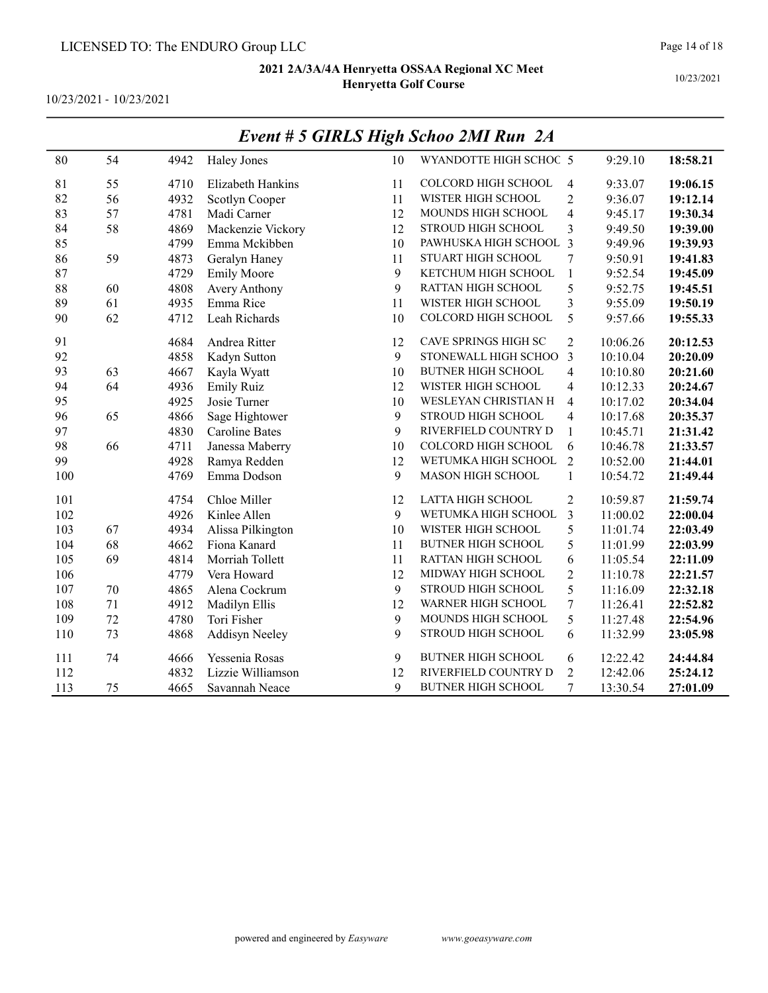10/23/2021 - 10/23/2021

|     |    |      |                       |    | Event # 3 GIRLS High Schoo 2MI Run 2A |                  |          |          |
|-----|----|------|-----------------------|----|---------------------------------------|------------------|----------|----------|
| 80  | 54 | 4942 | Haley Jones           | 10 | WYANDOTTE HIGH SCHOC 5                |                  | 9:29.10  | 18:58.21 |
| 81  | 55 | 4710 | Elizabeth Hankins     | 11 | COLCORD HIGH SCHOOL                   | $\overline{4}$   | 9:33.07  | 19:06.15 |
| 82  | 56 | 4932 | Scotlyn Cooper        | 11 | WISTER HIGH SCHOOL                    | $\overline{2}$   | 9:36.07  | 19:12.14 |
| 83  | 57 | 4781 | Madi Carner           | 12 | MOUNDS HIGH SCHOOL                    | $\overline{4}$   | 9:45.17  | 19:30.34 |
| 84  | 58 | 4869 | Mackenzie Vickory     | 12 | STROUD HIGH SCHOOL                    | 3                | 9:49.50  | 19:39.00 |
| 85  |    | 4799 | Emma Mckibben         | 10 | PAWHUSKA HIGH SCHOOL 3                |                  | 9:49.96  | 19:39.93 |
| 86  | 59 | 4873 | Geralyn Haney         | 11 | STUART HIGH SCHOOL                    | $\overline{7}$   | 9:50.91  | 19:41.83 |
| 87  |    | 4729 | <b>Emily Moore</b>    | 9  | KETCHUM HIGH SCHOOL                   | $\mathbf{1}$     | 9:52.54  | 19:45.09 |
| 88  | 60 | 4808 | Avery Anthony         | 9  | RATTAN HIGH SCHOOL                    | 5                | 9:52.75  | 19:45.51 |
| 89  | 61 | 4935 | Emma Rice             | 11 | WISTER HIGH SCHOOL                    | 3                | 9:55.09  | 19:50.19 |
| 90  | 62 | 4712 | Leah Richards         | 10 | <b>COLCORD HIGH SCHOOL</b>            | 5                | 9:57.66  | 19:55.33 |
| 91  |    | 4684 | Andrea Ritter         | 12 | CAVE SPRINGS HIGH SC                  | $\overline{2}$   | 10:06.26 | 20:12.53 |
| 92  |    | 4858 | Kadyn Sutton          | 9  | STONEWALL HIGH SCHOO                  | 3                | 10:10.04 | 20:20.09 |
| 93  | 63 | 4667 | Kayla Wyatt           | 10 | <b>BUTNER HIGH SCHOOL</b>             | $\overline{4}$   | 10:10.80 | 20:21.60 |
| 94  | 64 | 4936 | <b>Emily Ruiz</b>     | 12 | WISTER HIGH SCHOOL                    | 4                | 10:12.33 | 20:24.67 |
| 95  |    | 4925 | Josie Turner          | 10 | WESLEYAN CHRISTIAN H                  | 4                | 10:17.02 | 20:34.04 |
| 96  | 65 | 4866 | Sage Hightower        | 9  | <b>STROUD HIGH SCHOOL</b>             | $\overline{4}$   | 10:17.68 | 20:35.37 |
| 97  |    | 4830 | <b>Caroline Bates</b> | 9  | RIVERFIELD COUNTRY D                  | $\mathbf{1}$     | 10:45.71 | 21:31.42 |
| 98  | 66 | 4711 | Janessa Maberry       | 10 | COLCORD HIGH SCHOOL                   | 6                | 10:46.78 | 21:33.57 |
| 99  |    | 4928 | Ramya Redden          | 12 | WETUMKA HIGH SCHOOL                   | $\overline{2}$   | 10:52.00 | 21:44.01 |
| 100 |    | 4769 | Emma Dodson           | 9  | <b>MASON HIGH SCHOOL</b>              | $\mathbf{1}$     | 10:54.72 | 21:49.44 |
| 101 |    | 4754 | Chloe Miller          | 12 | LATTA HIGH SCHOOL                     | $\overline{2}$   | 10:59.87 | 21:59.74 |
| 102 |    | 4926 | Kinlee Allen          | 9  | WETUMKA HIGH SCHOOL                   | 3                | 11:00.02 | 22:00.04 |
| 103 | 67 | 4934 | Alissa Pilkington     | 10 | WISTER HIGH SCHOOL                    | 5                | 11:01.74 | 22:03.49 |
| 104 | 68 | 4662 | Fiona Kanard          | 11 | <b>BUTNER HIGH SCHOOL</b>             | 5                | 11:01.99 | 22:03.99 |
| 105 | 69 | 4814 | Morriah Tollett       | 11 | RATTAN HIGH SCHOOL                    | 6                | 11:05.54 | 22:11.09 |
| 106 |    | 4779 | Vera Howard           | 12 | MIDWAY HIGH SCHOOL                    | $\overline{2}$   | 11:10.78 | 22:21.57 |
| 107 | 70 | 4865 | Alena Cockrum         | 9  | STROUD HIGH SCHOOL                    | 5                | 11:16.09 | 22:32.18 |
| 108 | 71 | 4912 | Madilyn Ellis         | 12 | WARNER HIGH SCHOOL                    | $\boldsymbol{7}$ | 11:26.41 | 22:52.82 |
| 109 | 72 | 4780 | Tori Fisher           | 9  | MOUNDS HIGH SCHOOL                    | 5                | 11:27.48 | 22:54.96 |
| 110 | 73 | 4868 | Addisyn Neeley        | 9  | STROUD HIGH SCHOOL                    | 6                | 11:32.99 | 23:05.98 |
| 111 | 74 | 4666 | Yessenia Rosas        | 9  | <b>BUTNER HIGH SCHOOL</b>             | 6                | 12:22.42 | 24:44.84 |
| 112 |    | 4832 | Lizzie Williamson     | 12 | RIVERFIELD COUNTRY D                  | $\overline{2}$   | 12:42.06 | 25:24.12 |
| 113 | 75 | 4665 | Savannah Neace        | 9  | <b>BUTNER HIGH SCHOOL</b>             | 7                | 13:30.54 | 27:01.09 |

# Event # 5 GIRLS High Schoo 2MI Run 2A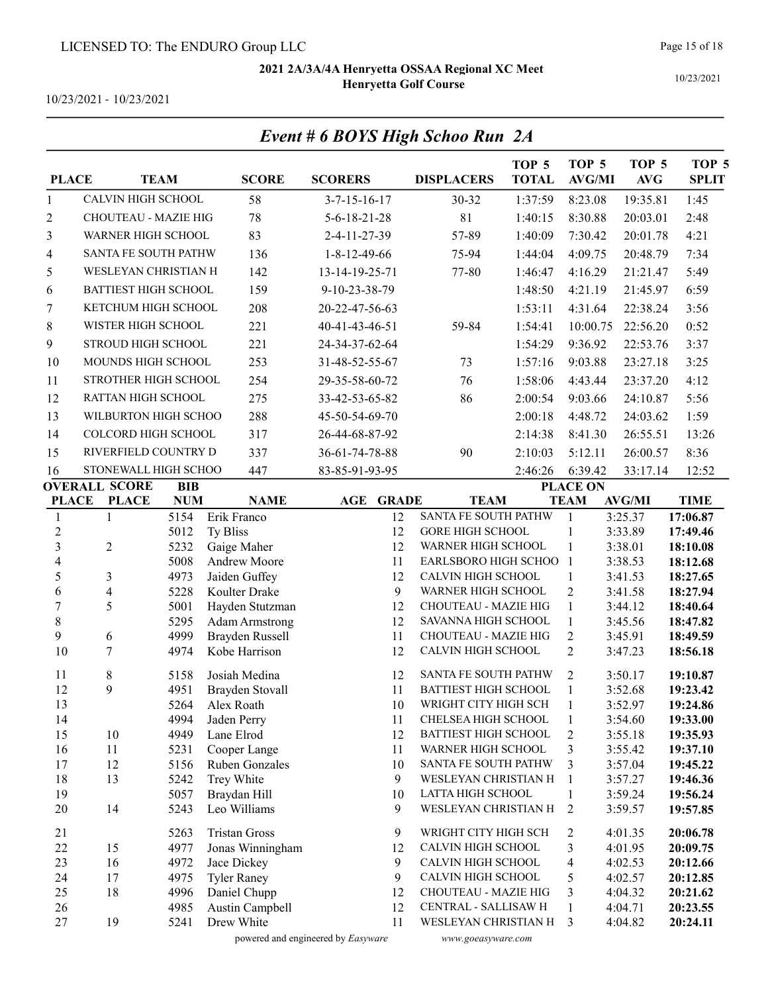Event # 6 BOYS High Schoo Run 2A

Page 15 of 18

10/23/2021

10/23/2021 - 10/23/2021

| <b>PLACE</b>                       |                             | <b>TEAM</b>  | <b>SCORE</b>                      | <b>SCORERS</b>                     | <b>DISPLACERS</b>                             | TOP <sub>5</sub><br><b>TOTAL</b> | TOP <sub>5</sub><br><b>AVG/MI</b> | TOP <sub>5</sub><br>AVG | TOP <sub>5</sub><br><b>SPLIT</b> |
|------------------------------------|-----------------------------|--------------|-----------------------------------|------------------------------------|-----------------------------------------------|----------------------------------|-----------------------------------|-------------------------|----------------------------------|
| $\mathbf{1}$                       | <b>CALVIN HIGH SCHOOL</b>   |              | 58                                | $3 - 7 - 15 - 16 - 17$             | 30-32                                         | 1:37:59                          | 8:23.08                           | 19:35.81                | 1:45                             |
| 2                                  | CHOUTEAU - MAZIE HIG        |              | 78                                | $5 - 6 - 18 - 21 - 28$             | 81                                            | 1:40:15                          | 8:30.88                           | 20:03.01                | 2:48                             |
| 3                                  | WARNER HIGH SCHOOL          |              | 83                                | 2-4-11-27-39                       | 57-89                                         | 1:40:09                          | 7:30.42                           | 20:01.78                | 4:21                             |
| 4                                  | SANTA FE SOUTH PATHW        |              | 136                               | $1 - 8 - 12 - 49 - 66$             | 75-94                                         | 1:44:04                          | 4:09.75                           | 20:48.79                | 7:34                             |
| 5                                  | WESLEYAN CHRISTIAN H        |              | 142                               | 13-14-19-25-71                     | 77-80                                         | 1:46:47                          | 4:16.29                           | 21:21.47                | 5:49                             |
| 6                                  | <b>BATTIEST HIGH SCHOOL</b> |              | 159                               | 9-10-23-38-79                      |                                               | 1:48:50                          | 4:21.19                           | 21:45.97                | 6:59                             |
| 7                                  | KETCHUM HIGH SCHOOL         |              | 208                               | 20-22-47-56-63                     |                                               | 1:53:11                          | 4:31.64                           | 22:38.24                | 3:56                             |
| $8\,$                              | WISTER HIGH SCHOOL          |              | 221                               | 40-41-43-46-51                     | 59-84                                         | 1:54:41                          | 10:00.75                          | 22:56.20                | 0:52                             |
|                                    | STROUD HIGH SCHOOL          |              | 221                               |                                    |                                               |                                  | 9:36.92                           |                         | 3:37                             |
| 9                                  |                             |              |                                   | 24-34-37-62-64                     |                                               | 1:54:29                          |                                   | 22:53.76                |                                  |
| 10                                 | MOUNDS HIGH SCHOOL          |              | 253                               | 31-48-52-55-67                     | 73                                            | 1:57:16                          | 9:03.88                           | 23:27.18                | 3:25                             |
| 11                                 | STROTHER HIGH SCHOOL        |              | 254                               | 29-35-58-60-72                     | 76                                            | 1:58:06                          | 4:43.44                           | 23:37.20                | 4:12                             |
| 12                                 | RATTAN HIGH SCHOOL          |              | 275                               | 33-42-53-65-82                     | 86                                            | 2:00:54                          | 9:03.66                           | 24:10.87                | 5:56                             |
| 13                                 | WILBURTON HIGH SCHOO        |              | 288                               | 45-50-54-69-70                     |                                               | 2:00:18                          | 4:48.72                           | 24:03.62                | 1:59                             |
| 14                                 | <b>COLCORD HIGH SCHOOL</b>  |              | 317                               | 26-44-68-87-92                     |                                               | 2:14:38                          | 8:41.30                           | 26:55.51                | 13:26                            |
| 15                                 | RIVERFIELD COUNTRY D        |              | 337                               | 36-61-74-78-88                     | 90                                            | 2:10:03                          | 5:12.11                           | 26:00.57                | 8:36                             |
| 16                                 | STONEWALL HIGH SCHOO        |              | 447                               | 83-85-91-93-95                     |                                               | 2:46:26                          | 6:39.42                           | 33:17.14                | 12:52                            |
|                                    | <b>OVERALL SCORE</b>        | <b>BIB</b>   |                                   |                                    |                                               |                                  | <b>PLACE ON</b>                   |                         |                                  |
| <b>PLACE</b>                       | <b>PLACE</b>                | <b>NUM</b>   | <b>NAME</b>                       | AGE<br><b>GRADE</b>                | <b>TEAM</b>                                   |                                  | <b>TEAM</b>                       | <b>AVG/MI</b>           | <b>TIME</b>                      |
| 1                                  | $\mathbf{1}$                | 5154         | Erik Franco                       | 12                                 | <b>SANTA FE SOUTH PATHW</b>                   |                                  | $\mathbf{1}$                      | 3:25.37                 | 17:06.87                         |
| $\boldsymbol{2}$<br>$\overline{3}$ |                             | 5012         | Ty Bliss                          | 12                                 | <b>GORE HIGH SCHOOL</b><br>WARNER HIGH SCHOOL |                                  | $\mathbf{1}$                      | 3:33.89                 | 17:49.46                         |
| 4                                  | $\overline{2}$              | 5232<br>5008 | Gaige Maher<br>Andrew Moore       | 12<br>11                           | EARLSBORO HIGH SCHOO                          |                                  | 1<br>$\mathbf{1}$                 | 3:38.01<br>3:38.53      | 18:10.08<br>18:12.68             |
| 5                                  | 3                           | 4973         | Jaiden Guffey                     | 12                                 | CALVIN HIGH SCHOOL                            |                                  | $\mathbf{1}$                      | 3:41.53                 | 18:27.65                         |
| 6                                  | 4                           | 5228         | Koulter Drake                     | 9                                  | WARNER HIGH SCHOOL                            |                                  | $\overline{2}$                    | 3:41.58                 | 18:27.94                         |
| $\overline{7}$                     | 5                           | 5001         | Hayden Stutzman                   | 12                                 | CHOUTEAU - MAZIE HIG                          |                                  | $\mathbf{1}$                      | 3:44.12                 | 18:40.64                         |
| 8                                  |                             | 5295         | <b>Adam Armstrong</b>             | 12                                 | SAVANNA HIGH SCHOOL                           |                                  | $\mathbf{1}$                      | 3:45.56                 | 18:47.82                         |
| 9                                  | 6                           | 4999         | Brayden Russell                   | 11                                 | <b>CHOUTEAU - MAZIE HIG</b>                   |                                  | $\overline{2}$                    | 3:45.91                 | 18:49.59                         |
| 10                                 | $\overline{7}$              | 4974         | Kobe Harrison                     | 12                                 | CALVIN HIGH SCHOOL                            |                                  | $\overline{2}$                    | 3:47.23                 | 18:56.18                         |
| 11                                 | $8\,$                       | 5158         | Josiah Medina                     | 12                                 | SANTA FE SOUTH PATHW                          |                                  | $\overline{2}$                    | 3:50.17                 | 19:10.87                         |
| 12                                 | 9                           | 4951         | Brayden Stovall                   | 11                                 | <b>BATTIEST HIGH SCHOOL</b>                   |                                  | $\mathbf{1}$                      | 3:52.68                 | 19:23.42                         |
| 13                                 |                             | 5264         | Alex Roath                        | 10                                 | WRIGHT CITY HIGH SCH                          |                                  | $\mathbf{1}$                      | 3:52.97                 | 19:24.86                         |
| 14                                 |                             | 4994         | Jaden Perry                       | 11                                 | CHELSEA HIGH SCHOOL                           |                                  | 1                                 | 3:54.60                 | 19:33.00                         |
| 15                                 | 10                          | 4949         | Lane Elrod                        | 12                                 | <b>BATTIEST HIGH SCHOOL</b>                   |                                  | $\overline{c}$                    | 3:55.18                 | 19:35.93                         |
| 16                                 | 11                          | 5231         | Cooper Lange                      | 11                                 | WARNER HIGH SCHOOL                            |                                  | 3                                 | 3:55.42                 | 19:37.10                         |
| 17                                 | 12                          | 5156         | Ruben Gonzales<br>Trey White      | 10<br>9                            | SANTA FE SOUTH PATHW<br>WESLEYAN CHRISTIAN H  |                                  | 3                                 | 3:57.04                 | 19:45.22                         |
| 18<br>19                           | 13                          | 5242<br>5057 | Braydan Hill                      | 10                                 | LATTA HIGH SCHOOL                             |                                  | 1<br>1                            | 3:57.27<br>3:59.24      | 19:46.36<br>19:56.24             |
| 20                                 | 14                          | 5243         | Leo Williams                      | 9                                  | WESLEYAN CHRISTIAN H                          |                                  | 2                                 | 3:59.57                 | 19:57.85                         |
|                                    |                             |              |                                   |                                    |                                               |                                  |                                   |                         |                                  |
| 21                                 |                             | 5263         | <b>Tristan Gross</b>              | 9                                  | WRIGHT CITY HIGH SCH                          |                                  | 2                                 | 4:01.35                 | 20:06.78                         |
| 22<br>23                           | 15                          | 4977         | Jonas Winningham                  | 12                                 | CALVIN HIGH SCHOOL<br>CALVIN HIGH SCHOOL      |                                  | 3<br>$\overline{4}$               | 4:01.95                 | 20:09.75                         |
| 24                                 | 16<br>17                    | 4972<br>4975 | Jace Dickey<br><b>Tyler Raney</b> | 9<br>9                             | CALVIN HIGH SCHOOL                            |                                  | 5                                 | 4:02.53<br>4:02.57      | 20:12.66<br>20:12.85             |
| 25                                 | 18                          | 4996         | Daniel Chupp                      | 12                                 | CHOUTEAU - MAZIE HIG                          |                                  | 3                                 | 4:04.32                 | 20:21.62                         |
| 26                                 |                             | 4985         | Austin Campbell                   | 12                                 | CENTRAL - SALLISAW H                          |                                  | 1                                 | 4:04.71                 | 20:23.55                         |
| 27                                 | 19                          | 5241         | Drew White                        | 11                                 | WESLEYAN CHRISTIAN H                          |                                  | 3                                 | 4:04.82                 | 20:24.11                         |
|                                    |                             |              |                                   | powered and engineered by Easyware | www.goeasyware.com                            |                                  |                                   |                         |                                  |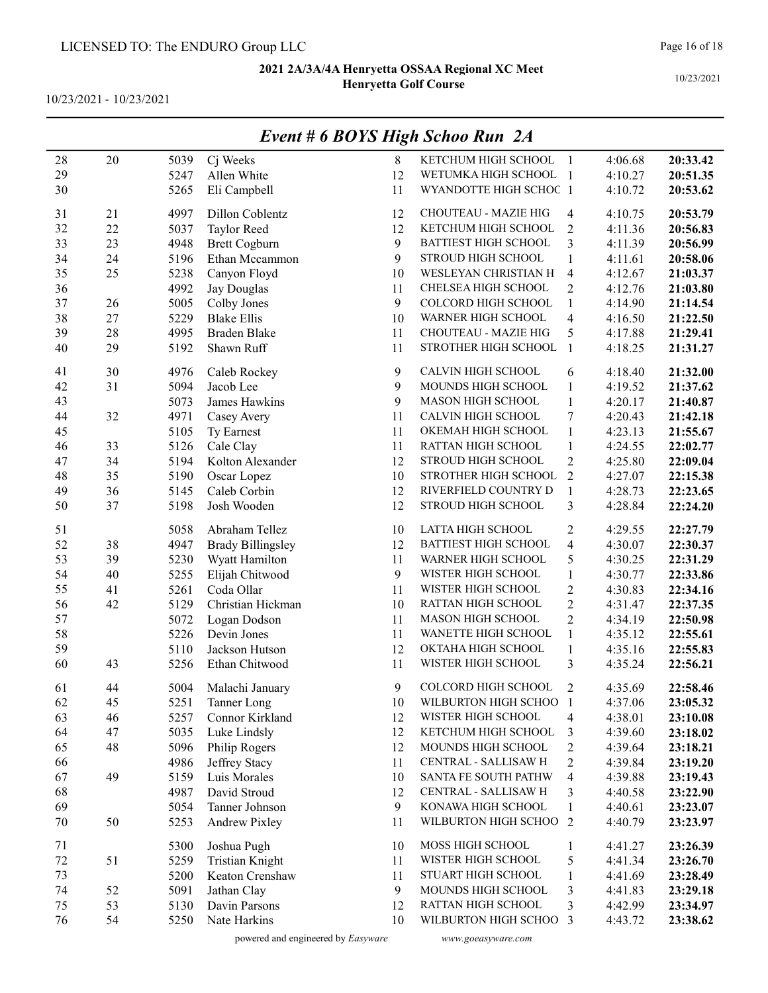10/23/2021 - 10/23/2021

| 28       | 20     | 5039 | Cj Weeks                 | 8  | KETCHUM HIGH SCHOOL       | -1                       | 4:06.68 | 20:33.42 |
|----------|--------|------|--------------------------|----|---------------------------|--------------------------|---------|----------|
| 29       |        | 5247 | Allen White              | 12 | WETUMKA HIGH SCHOOL 1     |                          | 4:10.27 | 20:51.35 |
| 30       |        | 5265 | Eli Campbell             | 11 | WYANDOTTE HIGH SCHOC 1    |                          | 4:10.72 | 20:53.62 |
| 31       | 21     | 4997 | Dillon Coblentz          | 12 | CHOUTEAU - MAZIE HIG      | 4                        | 4:10.75 | 20:53.79 |
| 32       | 22     | 5037 | Taylor Reed              | 12 | KETCHUM HIGH SCHOOL       | $\overline{2}$           | 4:11.36 | 20:56.83 |
| 33       | 23     | 4948 | <b>Brett Cogburn</b>     | 9  | BATTIEST HIGH SCHOOL      | 3                        | 4:11.39 | 20:56.99 |
| 34       | 24     | 5196 | Ethan Mccammon           | 9  | STROUD HIGH SCHOOL        | $\mathbf{1}$             | 4:11.61 | 20:58.06 |
| 35       | 25     | 5238 | Canyon Floyd             | 10 | WESLEYAN CHRISTIAN H      | $\overline{4}$           | 4:12.67 | 21:03.37 |
| 36       |        | 4992 | Jay Douglas              | 11 | CHELSEA HIGH SCHOOL       | $\overline{2}$           | 4:12.76 | 21:03.80 |
| 37       | 26     | 5005 | Colby Jones              | 9  | COLCORD HIGH SCHOOL       | $\mathbf{1}$             | 4:14.90 | 21:14.54 |
| 38       | $27\,$ | 5229 | <b>Blake Ellis</b>       | 10 | WARNER HIGH SCHOOL        | $\overline{4}$           | 4:16.50 | 21:22.50 |
| 39       | 28     | 4995 | <b>Braden Blake</b>      | 11 | CHOUTEAU - MAZIE HIG      | 5                        | 4:17.88 | 21:29.41 |
| 40       | 29     | 5192 | Shawn Ruff               | 11 | STROTHER HIGH SCHOOL      | $\overline{1}$           | 4:18.25 | 21:31.27 |
|          |        |      |                          |    |                           |                          |         |          |
| 41       | 30     | 4976 | Caleb Rockey             | 9  | CALVIN HIGH SCHOOL        | 6                        | 4:18.40 | 21:32.00 |
| 42       | 31     | 5094 | Jacob Lee                | 9  | MOUNDS HIGH SCHOOL        | $\mathbf{1}$             | 4:19.52 | 21:37.62 |
| 43       |        | 5073 | James Hawkins            | 9  | MASON HIGH SCHOOL         | $\mathbf{1}$             | 4:20.17 | 21:40.87 |
| 44       | 32     | 4971 | Casey Avery              | 11 | CALVIN HIGH SCHOOL        | $\tau$                   | 4:20.43 | 21:42.18 |
| 45       |        | 5105 | Ty Earnest               | 11 | OKEMAH HIGH SCHOOL        | $\mathbf{1}$             | 4:23.13 | 21:55.67 |
| 46       | 33     | 5126 | Cale Clay                | 11 | RATTAN HIGH SCHOOL        | $\mathbf{1}$             | 4:24.55 | 22:02.77 |
| 47       | 34     | 5194 | Kolton Alexander         | 12 | <b>STROUD HIGH SCHOOL</b> | $\overline{c}$           | 4:25.80 | 22:09.04 |
| 48       | 35     | 5190 | Oscar Lopez              | 10 | STROTHER HIGH SCHOOL      | $\overline{2}$           | 4:27.07 | 22:15.38 |
| 49       | 36     | 5145 | Caleb Corbin             | 12 | RIVERFIELD COUNTRY D      | $\mathbf{1}$             | 4:28.73 | 22:23.65 |
| 50       | 37     | 5198 | Josh Wooden              | 12 | STROUD HIGH SCHOOL        | 3                        | 4:28.84 | 22:24.20 |
|          |        |      |                          | 10 | LATTA HIGH SCHOOL         |                          |         |          |
| 51<br>52 |        | 5058 | Abraham Tellez           |    | BATTIEST HIGH SCHOOL      | $\overline{c}$           | 4:29.55 | 22:27.79 |
|          | 38     | 4947 | <b>Brady Billingsley</b> | 12 |                           | $\overline{4}$           | 4:30.07 | 22:30.37 |
| 53       | 39     | 5230 | Wyatt Hamilton           | 11 | WARNER HIGH SCHOOL        | 5                        | 4:30.25 | 22:31.29 |
| 54       | 40     | 5255 | Elijah Chitwood          | 9  | WISTER HIGH SCHOOL        | 1                        | 4:30.77 | 22:33.86 |
| 55       | 41     | 5261 | Coda Ollar               | 11 | WISTER HIGH SCHOOL        | $\overline{c}$           | 4:30.83 | 22:34.16 |
| 56       | 42     | 5129 | Christian Hickman        | 10 | RATTAN HIGH SCHOOL        | $\overline{2}$           | 4:31.47 | 22:37.35 |
| 57       |        | 5072 | Logan Dodson             | 11 | MASON HIGH SCHOOL         | $\overline{c}$           | 4:34.19 | 22:50.98 |
| 58       |        | 5226 | Devin Jones              | 11 | WANETTE HIGH SCHOOL       | $\mathbf{1}$             | 4:35.12 | 22:55.61 |
| 59       |        | 5110 | Jackson Hutson           | 12 | OKTAHA HIGH SCHOOL        | 1                        | 4:35.16 | 22:55.83 |
| 60       | 43     | 5256 | Ethan Chitwood           | 11 | WISTER HIGH SCHOOL        | 3                        | 4:35.24 | 22:56.21 |
| 61       | 44     | 5004 | Malachi January          | 9  | COLCORD HIGH SCHOOL       | $\overline{2}$           | 4:35.69 | 22:58.46 |
| 62       | 45     | 5251 | Tanner Long              |    | 10 WILBURTON HIGH SCHOO 1 |                          | 4:37.06 | 23:05.32 |
| 63       | 46     | 5257 | Connor Kirkland          | 12 | WISTER HIGH SCHOOL        | 4                        | 4:38.01 | 23:10.08 |
| 64       | 47     | 5035 | Luke Lindsly             | 12 | KETCHUM HIGH SCHOOL       | 3                        | 4:39.60 | 23:18.02 |
| 65       | 48     | 5096 | Philip Rogers            | 12 | MOUNDS HIGH SCHOOL        | $\overline{c}$           | 4:39.64 | 23:18.21 |
| 66       |        | 4986 | Jeffrey Stacy            | 11 | CENTRAL - SALLISAW H      | $\overline{c}$           | 4:39.84 | 23:19.20 |
| 67       | 49     | 5159 | Luis Morales             | 10 | SANTA FE SOUTH PATHW      | $\overline{\mathcal{A}}$ | 4:39.88 | 23:19.43 |
| 68       |        | 4987 | David Stroud             | 12 | CENTRAL - SALLISAW H      | 3                        | 4:40.58 | 23:22.90 |
| 69       |        | 5054 | Tanner Johnson           | 9  | KONAWA HIGH SCHOOL        | 1                        | 4:40.61 | 23:23.07 |
| 70       | 50     | 5253 | Andrew Pixley            | 11 | WILBURTON HIGH SCHOO      | 2                        | 4:40.79 | 23:23.97 |
|          |        |      |                          |    |                           |                          |         |          |
| 71       |        | 5300 | Joshua Pugh              | 10 | MOSS HIGH SCHOOL          | 1                        | 4:41.27 | 23:26.39 |
| $72\,$   | 51     | 5259 | <b>Tristian Knight</b>   | 11 | WISTER HIGH SCHOOL        | 5                        | 4:41.34 | 23:26.70 |
| 73       |        | 5200 | Keaton Crenshaw          | 11 | STUART HIGH SCHOOL        | 1                        | 4:41.69 | 23:28.49 |
| 74       | 52     | 5091 | Jathan Clay              | 9  | MOUNDS HIGH SCHOOL        | 3                        | 4:41.83 | 23:29.18 |
| 75       | 53     | 5130 | Davin Parsons            | 12 | RATTAN HIGH SCHOOL        | 3                        | 4:42.99 | 23:34.97 |
| 76       | 54     | 5250 | Nate Harkins             | 10 | WILBURTON HIGH SCHOO      | 3                        | 4:43.72 | 23:38.62 |
|          |        |      |                          |    |                           |                          |         |          |

## Event # 6 BOYS High Schoo Run 2A

powered and engineered by Easyware www.goeasyware.com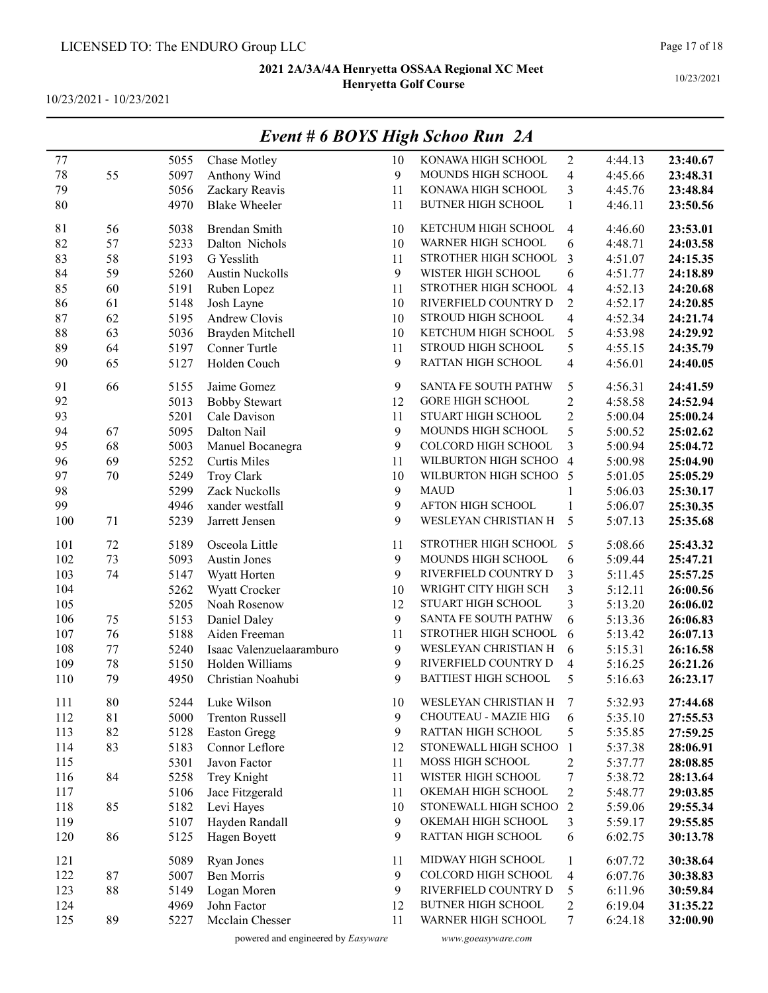10/23/2021 - 10/23/2021

|     |    |      |                                                       |    | <b>Event # 6 BOYS High Schoo Run 2A</b>   |                          |         |          |
|-----|----|------|-------------------------------------------------------|----|-------------------------------------------|--------------------------|---------|----------|
| 77  |    | 5055 | Chase Motley                                          | 10 | KONAWA HIGH SCHOOL                        | $\mathbf{2}$             | 4:44.13 | 23:40.67 |
| 78  | 55 | 5097 | Anthony Wind                                          | 9  | MOUNDS HIGH SCHOOL                        | $\overline{4}$           | 4:45.66 | 23:48.31 |
| 79  |    | 5056 | Zackary Reavis                                        | 11 | KONAWA HIGH SCHOOL                        | 3                        | 4:45.76 | 23:48.84 |
| 80  |    | 4970 | <b>Blake Wheeler</b>                                  | 11 | <b>BUTNER HIGH SCHOOL</b>                 | $\mathbf{1}$             | 4:46.11 | 23:50.56 |
| 81  | 56 | 5038 | Brendan Smith                                         | 10 | KETCHUM HIGH SCHOOL                       | $\overline{4}$           | 4:46.60 | 23:53.01 |
| 82  | 57 | 5233 | Dalton Nichols                                        | 10 | WARNER HIGH SCHOOL                        | 6                        | 4:48.71 | 24:03.58 |
| 83  | 58 | 5193 | G Yesslith                                            | 11 | STROTHER HIGH SCHOOL                      | 3                        | 4:51.07 | 24:15.35 |
| 84  | 59 | 5260 | <b>Austin Nuckolls</b>                                | 9  | WISTER HIGH SCHOOL                        | 6                        | 4:51.77 | 24:18.89 |
| 85  | 60 | 5191 | Ruben Lopez                                           | 11 | STROTHER HIGH SCHOOL                      | $\overline{4}$           | 4:52.13 | 24:20.68 |
| 86  | 61 | 5148 | Josh Layne                                            | 10 | RIVERFIELD COUNTRY D                      | $\overline{2}$           | 4:52.17 | 24:20.85 |
| 87  | 62 | 5195 | Andrew Clovis                                         | 10 | STROUD HIGH SCHOOL                        | $\overline{\mathbf{4}}$  | 4:52.34 | 24:21.74 |
| 88  | 63 | 5036 | Brayden Mitchell                                      | 10 | KETCHUM HIGH SCHOOL                       | 5                        | 4:53.98 | 24:29.92 |
| 89  | 64 | 5197 | Conner Turtle                                         | 11 | STROUD HIGH SCHOOL                        | 5                        | 4:55.15 | 24:35.79 |
| 90  | 65 | 5127 | Holden Couch                                          | 9  | RATTAN HIGH SCHOOL                        | 4                        | 4:56.01 | 24:40.05 |
| 91  | 66 | 5155 | Jaime Gomez                                           | 9  | SANTA FE SOUTH PATHW                      | 5                        | 4:56.31 | 24:41.59 |
| 92  |    | 5013 | <b>Bobby Stewart</b>                                  | 12 | <b>GORE HIGH SCHOOL</b>                   | $\overline{c}$           | 4:58.58 | 24:52.94 |
| 93  |    | 5201 | Cale Davison                                          | 11 | STUART HIGH SCHOOL                        | $\overline{c}$           | 5:00.04 | 25:00.24 |
| 94  | 67 | 5095 | Dalton Nail                                           | 9  | MOUNDS HIGH SCHOOL                        | 5                        | 5:00.52 | 25:02.62 |
| 95  | 68 | 5003 | Manuel Bocanegra                                      | 9  | COLCORD HIGH SCHOOL                       | 3                        | 5:00.94 | 25:04.72 |
| 96  | 69 | 5252 | <b>Curtis Miles</b>                                   | 11 | WILBURTON HIGH SCHOO                      | $\overline{4}$           | 5:00.98 | 25:04.90 |
| 97  | 70 | 5249 | Troy Clark                                            | 10 | WILBURTON HIGH SCHOO                      | 5                        | 5:01.05 | 25:05.29 |
| 98  |    | 5299 | Zack Nuckolls                                         | 9  | <b>MAUD</b>                               | $\mathbf{1}$             | 5:06.03 | 25:30.17 |
| 99  |    | 4946 | xander westfall                                       | 9  | AFTON HIGH SCHOOL                         | $\mathbf{1}$             | 5:06.07 | 25:30.35 |
| 100 | 71 | 5239 | Jarrett Jensen                                        | 9  | WESLEYAN CHRISTIAN H                      | 5                        | 5:07.13 | 25:35.68 |
| 101 | 72 | 5189 | Osceola Little                                        | 11 | STROTHER HIGH SCHOOL                      | 5                        | 5:08.66 | 25:43.32 |
| 102 | 73 | 5093 | <b>Austin Jones</b>                                   | 9  | MOUNDS HIGH SCHOOL                        | 6                        | 5:09.44 | 25:47.21 |
| 103 | 74 | 5147 | Wyatt Horten                                          | 9  | RIVERFIELD COUNTRY D                      | 3                        | 5:11.45 | 25:57.25 |
| 104 |    | 5262 | Wyatt Crocker                                         | 10 | WRIGHT CITY HIGH SCH                      | 3                        | 5:12.11 | 26:00.56 |
| 105 |    | 5205 | Noah Rosenow                                          | 12 | STUART HIGH SCHOOL                        | 3                        | 5:13.20 | 26:06.02 |
| 106 | 75 | 5153 | Daniel Daley                                          | 9  | SANTA FE SOUTH PATHW                      | 6                        | 5:13.36 | 26:06.83 |
| 107 | 76 | 5188 | Aiden Freeman                                         | 11 | STROTHER HIGH SCHOOL                      | 6                        | 5:13.42 | 26:07.13 |
| 108 | 77 | 5240 | Isaac Valenzuelaaramburo                              | 9  | WESLEYAN CHRISTIAN H                      | 6                        | 5:15.31 | 26:16.58 |
| 109 | 78 | 5150 | Holden Williams                                       | 9  | RIVERFIELD COUNTRY D                      | 4                        | 5:16.25 | 26:21.26 |
| 110 | 79 | 4950 | Christian Noahubi                                     | 9  | <b>BATTIEST HIGH SCHOOL</b>               | 5                        | 5:16.63 | 26:23.17 |
| 111 | 80 | 5244 | Luke Wilson                                           | 10 | WESLEYAN CHRISTIAN H                      | 7                        | 5:32.93 | 27:44.68 |
| 112 | 81 | 5000 | <b>Trenton Russell</b>                                | 9  | CHOUTEAU - MAZIE HIG                      | 6                        | 5:35.10 | 27:55.53 |
| 113 | 82 | 5128 | <b>Easton Gregg</b>                                   | 9  | RATTAN HIGH SCHOOL                        | 5                        | 5:35.85 | 27:59.25 |
| 114 | 83 | 5183 | Connor Leflore                                        | 12 | STONEWALL HIGH SCHOO                      | $\mathbf{1}$             | 5:37.38 | 28:06.91 |
| 115 |    | 5301 | Javon Factor                                          | 11 | MOSS HIGH SCHOOL                          | $\overline{2}$           | 5:37.77 | 28:08.85 |
| 116 | 84 | 5258 | Trey Knight                                           | 11 | WISTER HIGH SCHOOL                        | $\boldsymbol{7}$         | 5:38.72 | 28:13.64 |
| 117 |    | 5106 | Jace Fitzgerald                                       | 11 | OKEMAH HIGH SCHOOL                        | $\overline{2}$           | 5:48.77 | 29:03.85 |
| 118 | 85 | 5182 | Levi Hayes                                            | 10 | STONEWALL HIGH SCHOO                      | $\overline{2}$           | 5:59.06 | 29:55.34 |
| 119 |    | 5107 | Hayden Randall                                        | 9  | OKEMAH HIGH SCHOOL                        | 3                        | 5:59.17 | 29:55.85 |
| 120 | 86 | 5125 | Hagen Boyett                                          | 9  | RATTAN HIGH SCHOOL                        | 6                        | 6:02.75 | 30:13.78 |
| 121 |    | 5089 | <b>Ryan Jones</b>                                     | 11 | MIDWAY HIGH SCHOOL                        | $\mathbf{1}$             | 6:07.72 | 30:38.64 |
| 122 | 87 | 5007 | <b>Ben Morris</b>                                     | 9  | COLCORD HIGH SCHOOL                       | $\overline{\mathcal{A}}$ | 6:07.76 | 30:38.83 |
| 123 | 88 | 5149 | Logan Moren                                           | 9  | RIVERFIELD COUNTRY D                      | 5                        | 6:11.96 | 30:59.84 |
| 124 |    | 4969 | John Factor                                           | 12 | <b>BUTNER HIGH SCHOOL</b>                 | $\mathbf{2}$             | 6:19.04 | 31:35.22 |
| 125 | 89 | 5227 | Mcclain Chesser<br>nowared and engineered by Facuuara | 11 | WARNER HIGH SCHOOL<br>unini aogamnana com | $\tau$                   | 6:24.18 | 32:00.90 |

### Page 17 of 18

powered and engineered by Easyware www.goeasyware.com